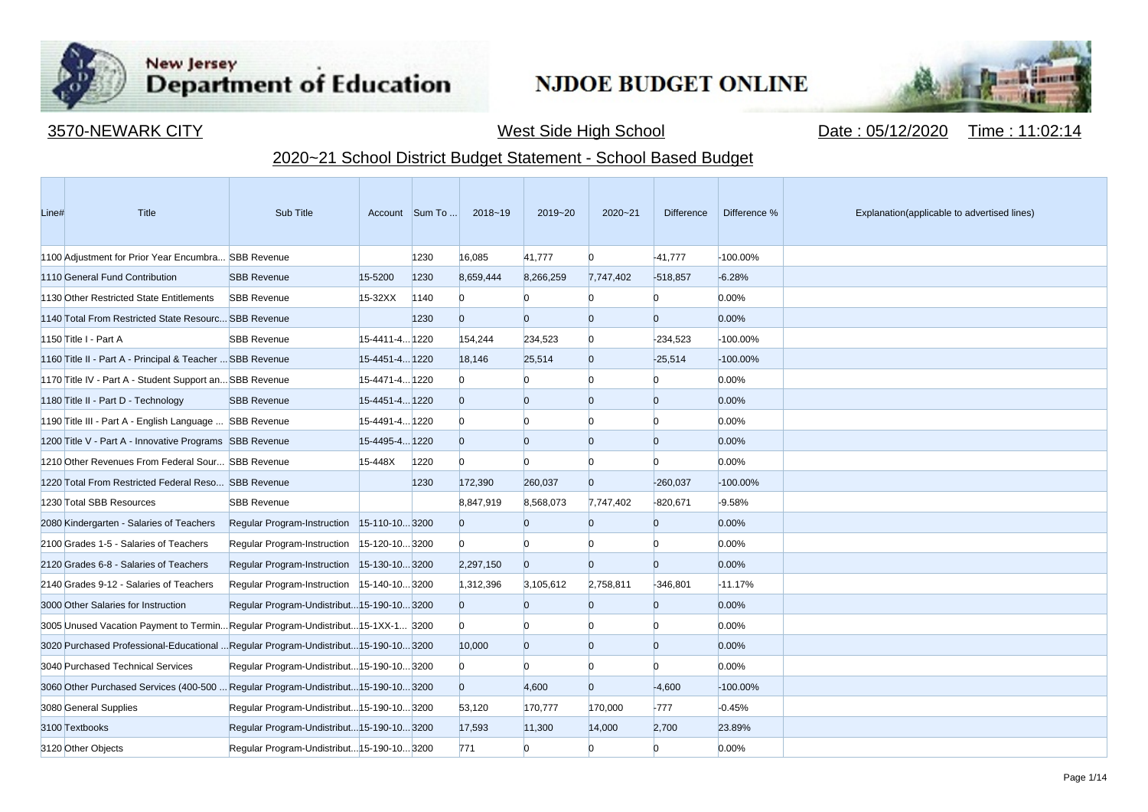

**Contract Contract** 

# New Jersey<br>Department of Education

## **NJDOE BUDGET ONLINE**



3570-NEWARK CITY West Side High School Date : 05/12/2020 Time : 11:02:14

### 2020~21 School District Budget Statement - School Based Budget

| Line# | Title                                                                               | Sub Title                                  |                | Account Sum To | 2018~19        | 2019~20        | $2020 - 21$    | <b>Difference</b> | Difference % | Explanation(applicable to advertised lines) |
|-------|-------------------------------------------------------------------------------------|--------------------------------------------|----------------|----------------|----------------|----------------|----------------|-------------------|--------------|---------------------------------------------|
|       | 1100 Adjustment for Prior Year Encumbra SBB Revenue                                 |                                            |                | 1230           | 16,085         | 41,777         | $\Omega$       | $-41,777$         | -100.00%     |                                             |
|       | 1110 General Fund Contribution                                                      | <b>SBB Revenue</b>                         | 15-5200        | 1230           | 8,659,444      | 8,266,259      | 7,747,402      | $-518,857$        | $-6.28%$     |                                             |
|       | 1130 Other Restricted State Entitlements                                            | <b>SBB Revenue</b>                         | $15-32XX$      | 1140           | $\Omega$       |                |                | n                 | 0.00%        |                                             |
|       | 1140 Total From Restricted State Resourc SBB Revenue                                |                                            |                | 1230           | $\Omega$       | $\overline{0}$ | $\overline{0}$ | $\Omega$          | 0.00%        |                                             |
|       | 1150 Title I - Part A                                                               | <b>SBB Revenue</b>                         | 15-4411-4 1220 |                | 154,244        | 234,523        | $\Omega$       | $-234,523$        | -100.00%     |                                             |
|       | 1160 Title II - Part A - Principal & Teacher  SBB Revenue                           |                                            | 15-4451-4 1220 |                | 18,146         | 25,514         | $\overline{0}$ | $-25,514$         | $-100.00\%$  |                                             |
|       | 1170 Title IV - Part A - Student Support an SBB Revenue                             |                                            | 15-4471-4 1220 |                | $\overline{0}$ | n              | $\Omega$       | $\Omega$          | 0.00%        |                                             |
|       | 1180 Title II - Part D - Technology                                                 | <b>SBB Revenue</b>                         | 15-4451-4 1220 |                | $\Omega$       | $\overline{0}$ | $\overline{0}$ | $\overline{0}$    | 0.00%        |                                             |
|       | 1190 Title III - Part A - English Language  SBB Revenue                             |                                            | 15-4491-4 1220 |                | $\Omega$       | $\Omega$       | n              | n                 | 0.00%        |                                             |
|       | 1200 Title V - Part A - Innovative Programs SBB Revenue                             |                                            | 15-4495-4 1220 |                | $\overline{0}$ | $\overline{0}$ | $\overline{0}$ | $\overline{0}$    | 0.00%        |                                             |
|       | 1210 Other Revenues From Federal Sour SBB Revenue                                   |                                            | 15-448X        | 1220           | $\Omega$       | n              | n              | $\Omega$          | 0.00%        |                                             |
|       | 1220 Total From Restricted Federal Reso SBB Revenue                                 |                                            |                | 1230           | 172,390        | 260,037        | $\Omega$       | $-260,037$        | $-100.00\%$  |                                             |
|       | 1230 Total SBB Resources                                                            | <b>SBB Revenue</b>                         |                |                | 8,847,919      | 8,568,073      | 7,747,402      | $-820,671$        | $-9.58%$     |                                             |
|       | 2080 Kindergarten - Salaries of Teachers                                            | Regular Program-Instruction 15-110-103200  |                |                | $\overline{0}$ | $\overline{0}$ | $\overline{0}$ | $\overline{0}$    | 0.00%        |                                             |
|       | 2100 Grades 1-5 - Salaries of Teachers                                              | Regular Program-Instruction 15-120-10 3200 |                |                | $\Omega$       | n              |                | n                 | 0.00%        |                                             |
|       | 2120 Grades 6-8 - Salaries of Teachers                                              | Regular Program-Instruction 15-130-103200  |                |                | 2,297,150      | $\overline{0}$ | $\overline{0}$ | $\overline{0}$    | 0.00%        |                                             |
|       | 2140 Grades 9-12 - Salaries of Teachers                                             | Regular Program-Instruction 15-140-103200  |                |                | 1,312,396      | 3,105,612      | 2,758,811      | $-346,801$        | $-11.17%$    |                                             |
|       | 3000 Other Salaries for Instruction                                                 | Regular Program-Undistribut 15-190-10 3200 |                |                | $\overline{0}$ | $\overline{0}$ | $\Omega$       | $\Omega$          | 0.00%        |                                             |
|       | 3005 Unused Vacation Payment to TerminRegular Program-Undistribut15-1XX-1 3200      |                                            |                |                | $\Omega$       | $\Omega$       |                | n                 | 0.00%        |                                             |
|       | 3020 Purchased Professional-Educational  Regular Program-Undistribut 15-190-10 3200 |                                            |                |                | 10,000         | $\overline{0}$ | $\overline{0}$ | $\overline{0}$    | 0.00%        |                                             |
|       | 3040 Purchased Technical Services                                                   | Regular Program-Undistribut 15-190-10 3200 |                |                | $\Omega$       | $\Omega$       | n              | n                 | 0.00%        |                                             |
|       | 3060 Other Purchased Services (400-500  Regular Program-Undistribut15-190-10 3200   |                                            |                |                | $\overline{0}$ | 4,600          | $\overline{0}$ | $-4,600$          | $-100.00\%$  |                                             |
|       | 3080 General Supplies                                                               | Regular Program-Undistribut 15-190-10 3200 |                |                | 53,120         | 170,777        | 170,000        | $-777$            | $-0.45%$     |                                             |
|       | 3100 Textbooks                                                                      | Regular Program-Undistribut 15-190-10 3200 |                |                | 17,593         | 11,300         | 14,000         | 2,700             | 23.89%       |                                             |
|       | 3120 Other Objects                                                                  | Regular Program-Undistribut 15-190-10 3200 |                |                | 771            | $\Omega$       | n              | $\overline{0}$    | 0.00%        |                                             |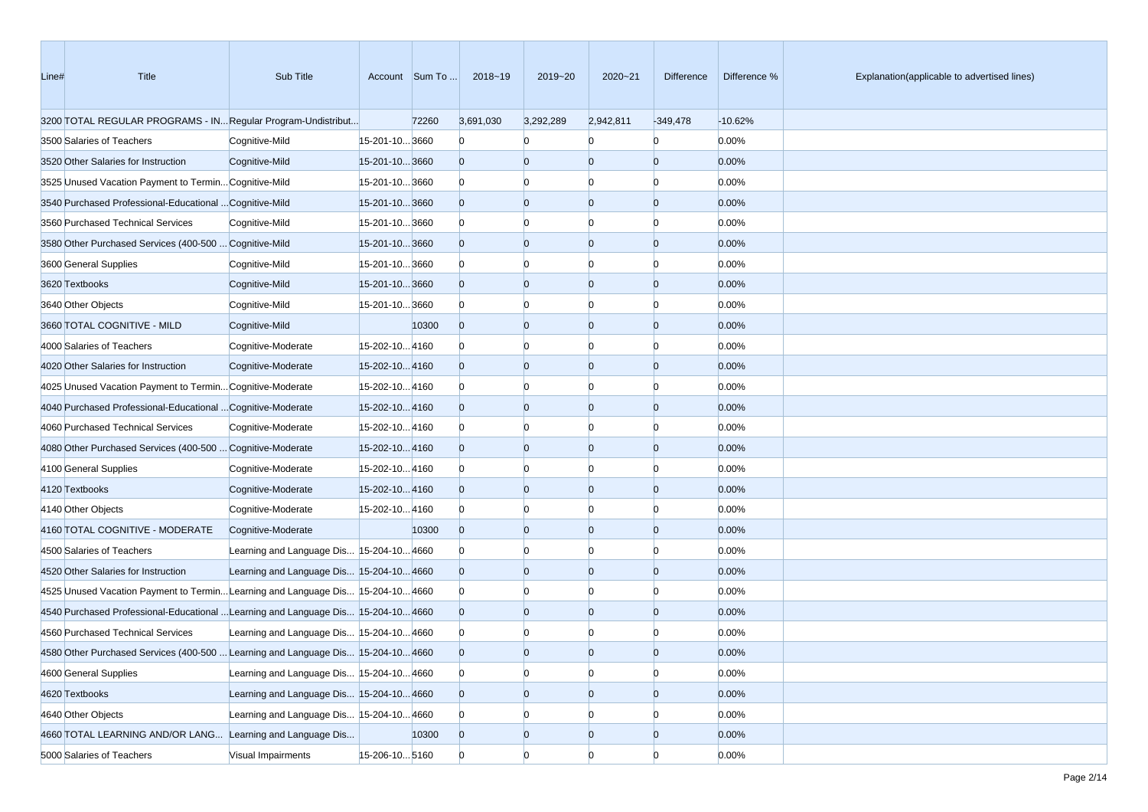| Line# | <b>Title</b>                                                                      | Sub Title                                |                | Account Sum To | 2018~19        | 2019~20        | 2020~21        | <b>Difference</b> | Difference % | Explanation(applicable to advertised lines) |
|-------|-----------------------------------------------------------------------------------|------------------------------------------|----------------|----------------|----------------|----------------|----------------|-------------------|--------------|---------------------------------------------|
|       | 3200 TOTAL REGULAR PROGRAMS - IN Regular Program-Undistribut                      |                                          |                | 72260          | 3,691,030      | 3,292,289      | 2,942,811      | $-349,478$        | $-10.62%$    |                                             |
|       | 3500 Salaries of Teachers                                                         | Cognitive-Mild                           | 15-201-10 3660 |                | $\mathbf{0}$   |                | $\Omega$       | $\Omega$          | 0.00%        |                                             |
|       | 3520 Other Salaries for Instruction                                               | Cognitive-Mild                           | 15-201-103660  |                | $\overline{0}$ | $\Omega$       | $\overline{0}$ | $\overline{0}$    | 0.00%        |                                             |
|       | 3525 Unused Vacation Payment to Termin Cognitive-Mild                             |                                          | 15-201-10 3660 |                | $\overline{0}$ | $\Omega$       | $\Omega$       | $\Omega$          | 0.00%        |                                             |
|       | 3540 Purchased Professional-Educational  Cognitive-Mild                           |                                          | 15-201-103660  |                | $\overline{0}$ | $\overline{0}$ | $\overline{0}$ | $\overline{0}$    | 0.00%        |                                             |
|       | 3560 Purchased Technical Services                                                 | Cognitive-Mild                           | 15-201-10 3660 |                | $\overline{0}$ | $\Omega$       | $\Omega$       | $\Omega$          | 0.00%        |                                             |
|       | 3580 Other Purchased Services (400-500  Cognitive-Mild                            |                                          | 15-201-103660  |                | $\overline{0}$ | $\Omega$       | $\overline{0}$ | $\overline{0}$    | 0.00%        |                                             |
|       | 3600 General Supplies                                                             | Cognitive-Mild                           | 15-201-10 3660 |                | $\overline{0}$ | $\Omega$       | $\Omega$       | n                 | 0.00%        |                                             |
|       | 3620 Textbooks                                                                    | Cognitive-Mild                           | 15-201-103660  |                | $\overline{0}$ | $\Omega$       | $\overline{0}$ | $\Omega$          | 0.00%        |                                             |
|       | 3640 Other Objects                                                                | Cognitive-Mild                           | 15-201-10 3660 |                | $\overline{0}$ | $\Omega$       | $\Omega$       | $\Omega$          | 0.00%        |                                             |
|       | 3660 TOTAL COGNITIVE - MILD                                                       | Cognitive-Mild                           |                | 10300          | $\overline{0}$ | $\overline{0}$ | $\overline{0}$ | $\overline{0}$    | 0.00%        |                                             |
|       | 4000 Salaries of Teachers                                                         | Cognitive-Moderate                       | 15-202-104160  |                | $\overline{0}$ | $\Omega$       | $\Omega$       | $\Omega$          | 0.00%        |                                             |
|       | 4020 Other Salaries for Instruction                                               | Cognitive-Moderate                       | 15-202-104160  |                | $\overline{0}$ | $\Omega$       | $\overline{0}$ | $\Omega$          | 0.00%        |                                             |
|       | 4025 Unused Vacation Payment to Termin Cognitive-Moderate                         |                                          | 15-202-104160  |                | $\overline{0}$ | $\Omega$       | $\Omega$       | n                 | 0.00%        |                                             |
|       | 4040 Purchased Professional-Educational  Cognitive-Moderate                       |                                          | 15-202-104160  |                | $\overline{0}$ | $\Omega$       | $\overline{0}$ | $\Omega$          | 0.00%        |                                             |
|       | 4060 Purchased Technical Services                                                 | Cognitive-Moderate                       | 15-202-104160  |                | $\overline{0}$ | $\Omega$       | $\Omega$       | $\Omega$          | 0.00%        |                                             |
|       | 4080 Other Purchased Services (400-500  Cognitive-Moderate                        |                                          | 15-202-104160  |                | $\overline{0}$ | $\Omega$       | $\overline{0}$ | $\overline{0}$    | 0.00%        |                                             |
|       | 4100 General Supplies                                                             | Cognitive-Moderate                       | 15-202-104160  |                | $\mathbf{0}$   | $\Omega$       | $\Omega$       | $\Omega$          | 0.00%        |                                             |
|       | 4120 Textbooks                                                                    | Cognitive-Moderate                       | 15-202-104160  |                | $\overline{0}$ | $\Omega$       | $\overline{0}$ | $\Omega$          | 0.00%        |                                             |
|       | 4140 Other Objects                                                                | Cognitive-Moderate                       | 15-202-104160  |                | $\Omega$       | $\Omega$       | $\Omega$       | $\Omega$          | 0.00%        |                                             |
|       | 4160 TOTAL COGNITIVE - MODERATE                                                   | Cognitive-Moderate                       |                | 10300          | $\overline{0}$ | $\Omega$       | $\overline{0}$ | $\Omega$          | 0.00%        |                                             |
|       | 4500 Salaries of Teachers                                                         | Learning and Language Dis 15-204-10 4660 |                |                | $\overline{0}$ | $\Omega$       | $\Omega$       | $\Omega$          | 0.00%        |                                             |
|       | 4520 Other Salaries for Instruction                                               | Learning and Language Dis 15-204-10 4660 |                |                | $\overline{0}$ | $\Omega$       | $\overline{0}$ | $\overline{0}$    | 0.00%        |                                             |
|       | 4525 Unused Vacation Payment to Termin Learning and Language Dis 15-204-10 4660   |                                          |                |                | $\overline{0}$ | $\Omega$       | $\Omega$       | $\Omega$          | 0.00%        |                                             |
|       | 4540 Purchased Professional-Educational  Learning and Language Dis 15-204-10 4660 |                                          |                |                | $\overline{0}$ | $\Omega$       | $\overline{0}$ | $\Omega$          | 0.00%        |                                             |
|       | 4560 Purchased Technical Services                                                 | Learning and Language Dis 15-204-10 4660 |                |                | $\overline{0}$ |                |                |                   | 0.00%        |                                             |
|       | 4580 Other Purchased Services (400-500  Learning and Language Dis 15-204-10 4660  |                                          |                |                | $\Omega$       | $\Omega$       | $\Omega$       | $\Omega$          | 0.00%        |                                             |
|       | 4600 General Supplies                                                             | Learning and Language Dis 15-204-10 4660 |                |                | $\overline{0}$ | $\overline{0}$ | $\overline{0}$ | $\overline{0}$    | 0.00%        |                                             |
|       | 4620 Textbooks                                                                    | Learning and Language Dis 15-204-10 4660 |                |                | $\overline{0}$ | $\overline{0}$ | $\overline{0}$ | $\overline{0}$    | 0.00%        |                                             |
|       | 4640 Other Objects                                                                | Learning and Language Dis 15-204-10 4660 |                |                | $\overline{0}$ | $\Omega$       | $\overline{0}$ |                   | 0.00%        |                                             |
|       | 4660 TOTAL LEARNING AND/OR LANG Learning and Language Dis                         |                                          |                | 10300          | $\overline{0}$ | $\overline{0}$ | $\overline{0}$ | $\overline{0}$    | 0.00%        |                                             |
|       | 5000 Salaries of Teachers                                                         | Visual Impairments                       | 15-206-10 5160 |                | $\overline{0}$ | $\overline{0}$ | $\overline{0}$ | $\Omega$          | 0.00%        |                                             |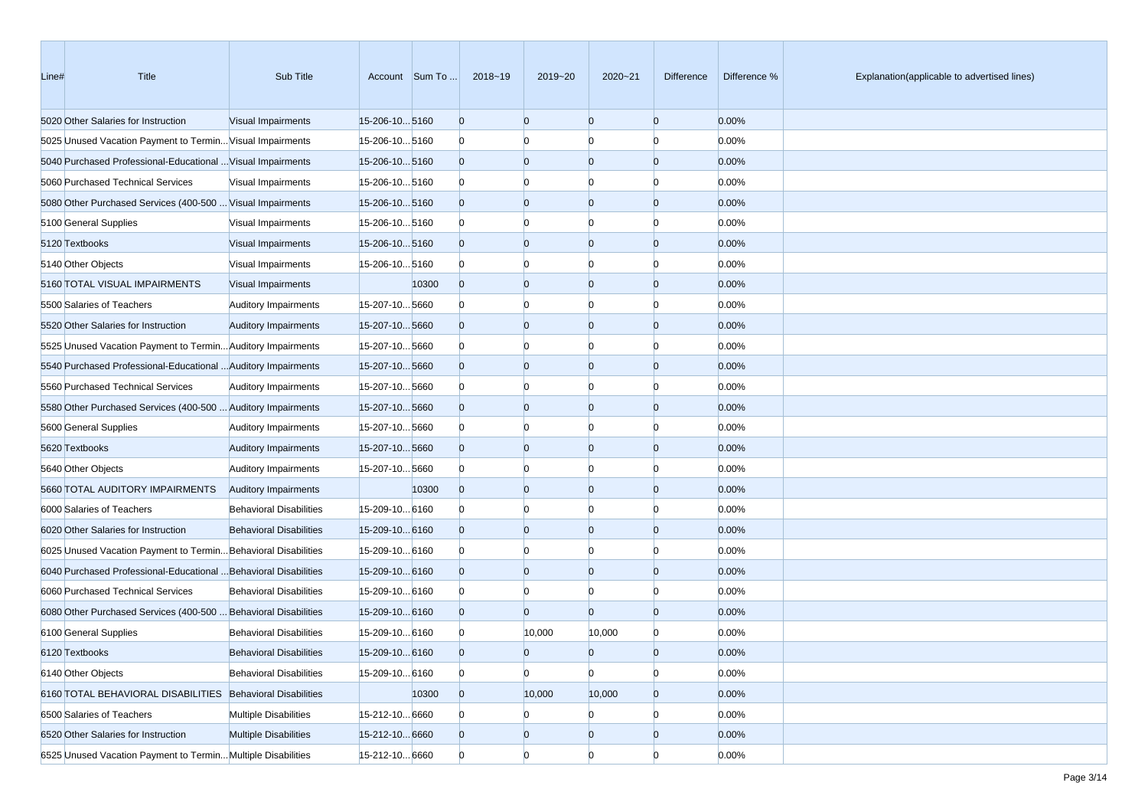| Line# | Title                                                            | Sub Title                      |                      | Account Sum To | 2018~19        | 2019~20        | 2020~21        | Difference     | Difference % | Explanation(applicable to advertised lines) |
|-------|------------------------------------------------------------------|--------------------------------|----------------------|----------------|----------------|----------------|----------------|----------------|--------------|---------------------------------------------|
|       | 5020 Other Salaries for Instruction                              | Visual Impairments             | 15-206-105160        |                | $\overline{0}$ | $\overline{0}$ | $\overline{0}$ | $\overline{0}$ | 0.00%        |                                             |
|       | 5025 Unused Vacation Payment to Termin Visual Impairments        |                                | 15-206-105160        |                | $\mathbf{0}$   | $\Omega$       | $\Omega$       | $\Omega$       | 0.00%        |                                             |
|       | 5040 Purchased Professional-Educational  Visual Impairments      |                                | 15-206-105160        |                | $\overline{0}$ | $\mathbf{0}$   | $\overline{0}$ | $\overline{0}$ | 0.00%        |                                             |
|       | 5060 Purchased Technical Services                                | Visual Impairments             | 15-206-105160        |                | $\mathbf{0}$   | $\Omega$       | $\Omega$       | n              | 0.00%        |                                             |
|       | 5080 Other Purchased Services (400-500  Visual Impairments       |                                | 15-206-105160        |                | $\overline{0}$ | $\Omega$       | $\overline{0}$ | $\Omega$       | 0.00%        |                                             |
|       | 5100 General Supplies                                            | Visual Impairments             | 15-206-105160        |                | $\mathbf{0}$   | $\Omega$       | $\Omega$       | n              | 0.00%        |                                             |
|       | 5120 Textbooks                                                   | Visual Impairments             | 15-206-10 5160       |                | $\overline{0}$ | $\overline{0}$ | $\overline{0}$ | $\overline{0}$ | 0.00%        |                                             |
|       | 5140 Other Objects                                               | Visual Impairments             | 15-206-105160        |                | $\mathbf{0}$   | $\Omega$       | $\Omega$       | $\Omega$       | 0.00%        |                                             |
|       | 5160 TOTAL VISUAL IMPAIRMENTS                                    | Visual Impairments             |                      | 10300          | $\overline{0}$ | $\Omega$       | $\overline{0}$ | $\Omega$       | 0.00%        |                                             |
|       | 5500 Salaries of Teachers                                        | <b>Auditory Impairments</b>    | 15-207-105660        |                | $\mathbf{0}$   | $\Omega$       | $\Omega$       | n              | 0.00%        |                                             |
|       | 5520 Other Salaries for Instruction                              | <b>Auditory Impairments</b>    | 15-207-105660        |                | $\overline{0}$ | $\Omega$       | $\overline{0}$ | $\Omega$       | 0.00%        |                                             |
|       | 5525 Unused Vacation Payment to Termin Auditory Impairments      |                                | 15-207-105660        |                | $\mathbf{0}$   | $\Omega$       | $\Omega$       | n              | 0.00%        |                                             |
|       | 5540 Purchased Professional-Educational  Auditory Impairments    |                                | 15-207-105660        |                | $\overline{0}$ | $\mathbf{0}$   | $\overline{0}$ | $\overline{0}$ | 0.00%        |                                             |
|       | 5560 Purchased Technical Services                                | <b>Auditory Impairments</b>    | 15-207-105660        |                | $\mathbf{0}$   | $\Omega$       | $\Omega$       | $\Omega$       | 0.00%        |                                             |
|       | 5580 Other Purchased Services (400-500  Auditory Impairments     |                                | 15-207-105660        |                | $\overline{0}$ | $\Omega$       | $\overline{0}$ | $\overline{0}$ | 0.00%        |                                             |
|       | 5600 General Supplies                                            | <b>Auditory Impairments</b>    | 15-207-105660        |                | $\mathbf{0}$   | $\Omega$       | $\Omega$       | n              | 0.00%        |                                             |
|       | 5620 Textbooks                                                   | <b>Auditory Impairments</b>    | 15-207-105660        |                | $\overline{0}$ | $\Omega$       | $\overline{0}$ | $\Omega$       | 0.00%        |                                             |
|       | 5640 Other Objects                                               | <b>Auditory Impairments</b>    | 15-207-105660        |                | $\mathbf{0}$   | $\Omega$       | $\Omega$       | n              | 0.00%        |                                             |
|       | 5660 TOTAL AUDITORY IMPAIRMENTS                                  | <b>Auditory Impairments</b>    |                      | 10300          | $\overline{0}$ | $\Omega$       | $\overline{0}$ | $\overline{0}$ | 0.00%        |                                             |
|       | 6000 Salaries of Teachers                                        | <b>Behavioral Disabilities</b> | 15-209-10 6160       |                | $\mathbf{0}$   | $\Omega$       | $\Omega$       | $\Omega$       | 0.00%        |                                             |
|       | 6020 Other Salaries for Instruction                              | <b>Behavioral Disabilities</b> | 15-209-10 6160       |                | $\overline{0}$ | $\mathbf{0}$   | $\overline{0}$ | $\Omega$       | 0.00%        |                                             |
|       | 6025 Unused Vacation Payment to Termin Behavioral Disabilities   |                                | 15-209-10 6160       |                | $\mathbf{0}$   | $\Omega$       | $\Omega$       | n              | 0.00%        |                                             |
|       | 6040 Purchased Professional-Educational  Behavioral Disabilities |                                | $15 - 209 - 10 6160$ |                | $\overline{0}$ | $\Omega$       | $\overline{0}$ | $\Omega$       | 0.00%        |                                             |
|       | 6060 Purchased Technical Services                                | <b>Behavioral Disabilities</b> | 15-209-10 6160       |                | $\mathbf{0}$   | $\Omega$       | n              | n              | 0.00%        |                                             |
|       | 6080 Other Purchased Services (400-500  Behavioral Disabilities  |                                | 15-209-10 6160       |                | $\overline{0}$ | $\Omega$       | $\overline{0}$ | $\overline{0}$ | 0.00%        |                                             |
|       | 6100 General Supplies                                            | <b>Behavioral Disabilities</b> | 15-209-10 6160       |                | $\mathbf{0}$   | 10,000         | 10,000         | $\Omega$       | 0.00%        |                                             |
|       | 6120 Textbooks                                                   | <b>Behavioral Disabilities</b> | 15-209-10 6160       |                | $\Omega$       | $\overline{0}$ | $\Omega$       | $\mathbf{0}$   | 0.00%        |                                             |
|       | 6140 Other Objects                                               | <b>Behavioral Disabilities</b> | 15-209-10 6160       |                | $\overline{0}$ | $\overline{0}$ | $\overline{0}$ | $\overline{0}$ | 0.00%        |                                             |
|       | 6160 TOTAL BEHAVIORAL DISABILITIES Behavioral Disabilities       |                                |                      | 10300          | $\overline{0}$ | 10,000         | 10,000         | $\overline{0}$ | 0.00%        |                                             |
|       | 6500 Salaries of Teachers                                        | <b>Multiple Disabilities</b>   | 15-212-10 6660       |                | $\overline{0}$ | $\Omega$       | $\overline{0}$ | $\mathbf{0}$   | 0.00%        |                                             |
|       | 6520 Other Salaries for Instruction                              | <b>Multiple Disabilities</b>   | 15-212-10 6660       |                | $\overline{0}$ | $\mathbf{0}$   | $\overline{0}$ | $\overline{0}$ | 0.00%        |                                             |
|       | 6525 Unused Vacation Payment to Termin Multiple Disabilities     |                                | 15-212-10 6660       |                | $\overline{0}$ | $\overline{0}$ | $\Omega$       | $\overline{0}$ | 0.00%        |                                             |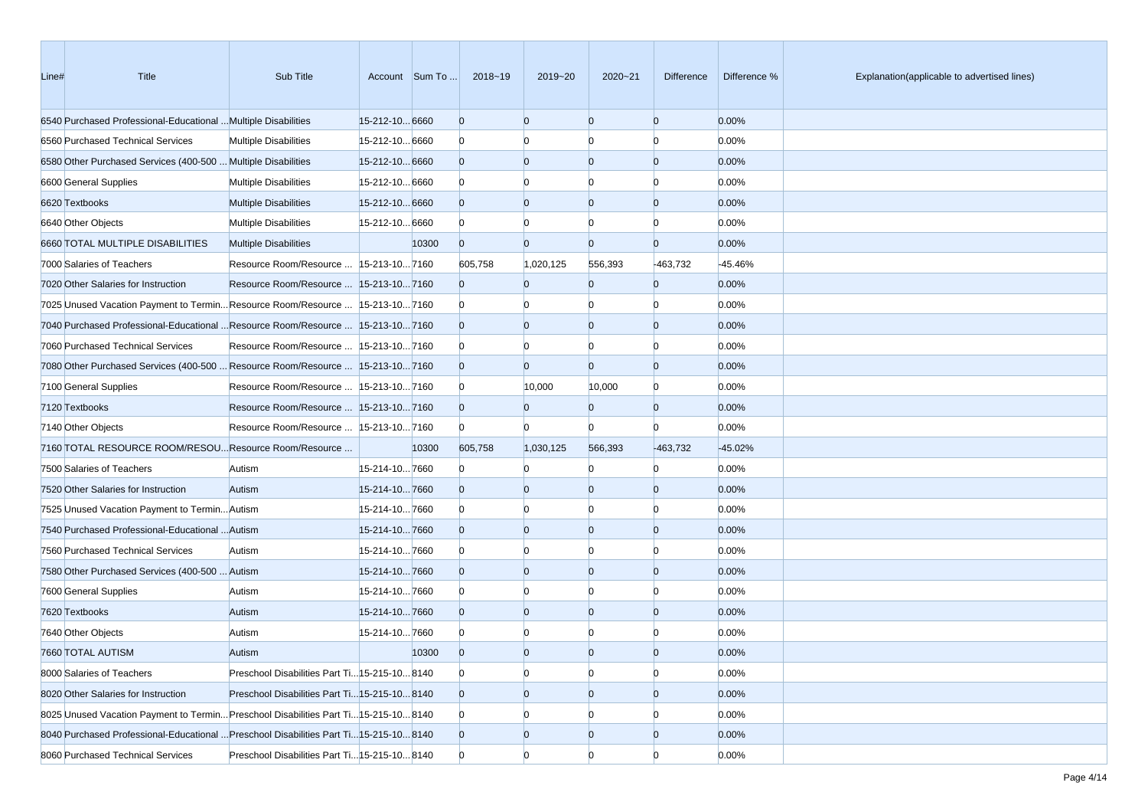| Line# | Title                                                                                 | Sub Title                                     |                | Account Sum To | 2018~19        | 2019~20        | 2020~21        | Difference     | Difference % | Explanation(applicable to advertised lines) |
|-------|---------------------------------------------------------------------------------------|-----------------------------------------------|----------------|----------------|----------------|----------------|----------------|----------------|--------------|---------------------------------------------|
|       | 6540 Purchased Professional-Educational  Multiple Disabilities                        |                                               | 15-212-10 6660 |                | $\overline{0}$ | $\overline{0}$ | $\overline{0}$ | $\overline{0}$ | 0.00%        |                                             |
|       | 6560 Purchased Technical Services                                                     | <b>Multiple Disabilities</b>                  | 15-212-10 6660 |                | $\mathbf{0}$   | $\Omega$       | $\Omega$       | $\Omega$       | 0.00%        |                                             |
|       | 6580 Other Purchased Services (400-500  Multiple Disabilities                         |                                               | 15-212-10 6660 |                | $\overline{0}$ | $\overline{0}$ | $\overline{0}$ | $\overline{0}$ | 0.00%        |                                             |
|       | 6600 General Supplies                                                                 | <b>Multiple Disabilities</b>                  | 15-212-10 6660 |                | $\Omega$       | $\Omega$       | $\Omega$       | $\Omega$       | 0.00%        |                                             |
|       | 6620 Textbooks                                                                        | <b>Multiple Disabilities</b>                  | 15-212-10 6660 |                | $\overline{0}$ | $\overline{0}$ | $\overline{0}$ | $\Omega$       | 0.00%        |                                             |
|       | 6640 Other Objects                                                                    | <b>Multiple Disabilities</b>                  | 15-212-10 6660 |                | $\Omega$       | $\Omega$       | n              | n              | 0.00%        |                                             |
|       | 6660 TOTAL MULTIPLE DISABILITIES                                                      | <b>Multiple Disabilities</b>                  |                | 10300          | $\overline{0}$ | $\Omega$       | $\Omega$       | $\overline{0}$ | 0.00%        |                                             |
|       | 7000 Salaries of Teachers                                                             | Resource Room/Resource   15-213-10 7160       |                |                | 605,758        | 1,020,125      | 556,393        | $-463,732$     | -45.46%      |                                             |
|       | 7020 Other Salaries for Instruction                                                   | Resource Room/Resource  15-213-107160         |                |                | $\overline{0}$ | $\Omega$       | $\Omega$       | $\overline{0}$ | 0.00%        |                                             |
|       | 7025 Unused Vacation Payment to TerminResource Room/Resource  15-213-107160           |                                               |                |                | $\bf{0}$       | $\Omega$       | $\Omega$       | $\Omega$       | 0.00%        |                                             |
|       | 7040 Purchased Professional-Educational  Resource Room/Resource  15-213-10 7160       |                                               |                |                | $\overline{0}$ | $\overline{0}$ | $\overline{0}$ | $\overline{0}$ | 0.00%        |                                             |
|       | 7060 Purchased Technical Services                                                     | Resource Room/Resource   15-213-10 7160       |                |                | $\Omega$       | $\overline{0}$ | $\Omega$       | n              | 0.00%        |                                             |
|       | 7080 Other Purchased Services (400-500  Resource Room/Resource  15-213-10 7160        |                                               |                |                | $\overline{0}$ | $\Omega$       | $\Omega$       | $\Omega$       | 0.00%        |                                             |
|       | 7100 General Supplies                                                                 | Resource Room/Resource   15-213-10 7160       |                |                | $\bf{0}$       | 10,000         | 10,000         | $\Omega$       | 0.00%        |                                             |
|       | 7120 Textbooks                                                                        | Resource Room/Resource   15-213-10 7160       |                |                | $\overline{0}$ | $\overline{0}$ | $\Omega$       | $\overline{0}$ | 0.00%        |                                             |
|       | 7140 Other Objects                                                                    | Resource Room/Resource   15-213-10 7160       |                |                | $\Omega$       | $\Omega$       | n              | $\Omega$       | 0.00%        |                                             |
|       | 7160 TOTAL RESOURCE ROOM/RESOU Resource Room/Resource                                 |                                               |                | 10300          | 605,758        | 1,030,125      | 566,393        | $-463,732$     | $-45.02%$    |                                             |
|       | 7500 Salaries of Teachers                                                             | Autism                                        | 15-214-107660  |                | $\mathbf{0}$   | $\Omega$       | n              | $\Omega$       | 0.00%        |                                             |
|       | 7520 Other Salaries for Instruction                                                   | Autism                                        | 15-214-107660  |                | $\mathbf{0}$   | $\overline{0}$ | $\overline{0}$ | $\overline{0}$ | 0.00%        |                                             |
|       | 7525 Unused Vacation Payment to Termin Autism                                         |                                               | 15-214-107660  |                | $\Omega$       | $\Omega$       | $\Omega$       | n              | 0.00%        |                                             |
|       | 7540 Purchased Professional-Educational  Autism                                       |                                               | 15-214-107660  |                | $\overline{0}$ | $\overline{0}$ | $\overline{0}$ | $\Omega$       | 0.00%        |                                             |
|       | 7560 Purchased Technical Services                                                     | Autism                                        | 15-214-107660  |                | $\Omega$       | $\Omega$       | $\Omega$       | n              | 0.00%        |                                             |
|       | 7580 Other Purchased Services (400-500  Autism                                        |                                               | 15-214-107660  |                | $\overline{0}$ | $\overline{0}$ | $\Omega$       | $\Omega$       | 0.00%        |                                             |
|       | 7600 General Supplies                                                                 | Autism                                        | 15-214-107660  |                | $\Omega$       | $\Omega$       | $\Omega$       | n              | 0.00%        |                                             |
|       | 7620 Textbooks                                                                        | Autism                                        | 15-214-107660  |                | $\overline{0}$ | $\overline{0}$ | $\overline{0}$ | $\Omega$       | 0.00%        |                                             |
|       | 7640 Other Objects                                                                    | Autism                                        | 15-214-107660  |                | $\Omega$       |                |                |                | 0.00%        |                                             |
|       | 7660 TOTAL AUTISM                                                                     | Autism                                        |                | 10300          | <sup>0</sup>   | $\Omega$       | $\Omega$       |                | 0.00%        |                                             |
|       | 8000 Salaries of Teachers                                                             | Preschool Disabilities Part Ti 15-215-10 8140 |                |                | $\mathbf{0}$   | $\overline{0}$ | $\overline{0}$ | $\overline{0}$ | 0.00%        |                                             |
|       | 8020 Other Salaries for Instruction                                                   | Preschool Disabilities Part Ti 15-215-10 8140 |                |                | $\overline{0}$ | $\overline{0}$ | $\mathbf{0}$   | $\overline{0}$ | 0.00%        |                                             |
|       | 8025 Unused Vacation Payment to Termin Preschool Disabilities Part Ti 15-215-10 8140  |                                               |                |                | $\mathbf{0}$   | $\bf{0}$       | $\bf{0}$       | n              | 0.00%        |                                             |
|       | 8040 Purchased Professional-Educational  Preschool Disabilities Part Ti15-215-10 8140 |                                               |                |                | $\overline{0}$ | $\mathbf{0}$   | $\mathbf{0}$   | $\overline{0}$ | 0.00%        |                                             |
|       | 8060 Purchased Technical Services                                                     | Preschool Disabilities Part Ti 15-215-10 8140 |                |                | $\mathbf{0}$   | $\overline{0}$ | $\Omega$       | $\Omega$       | 0.00%        |                                             |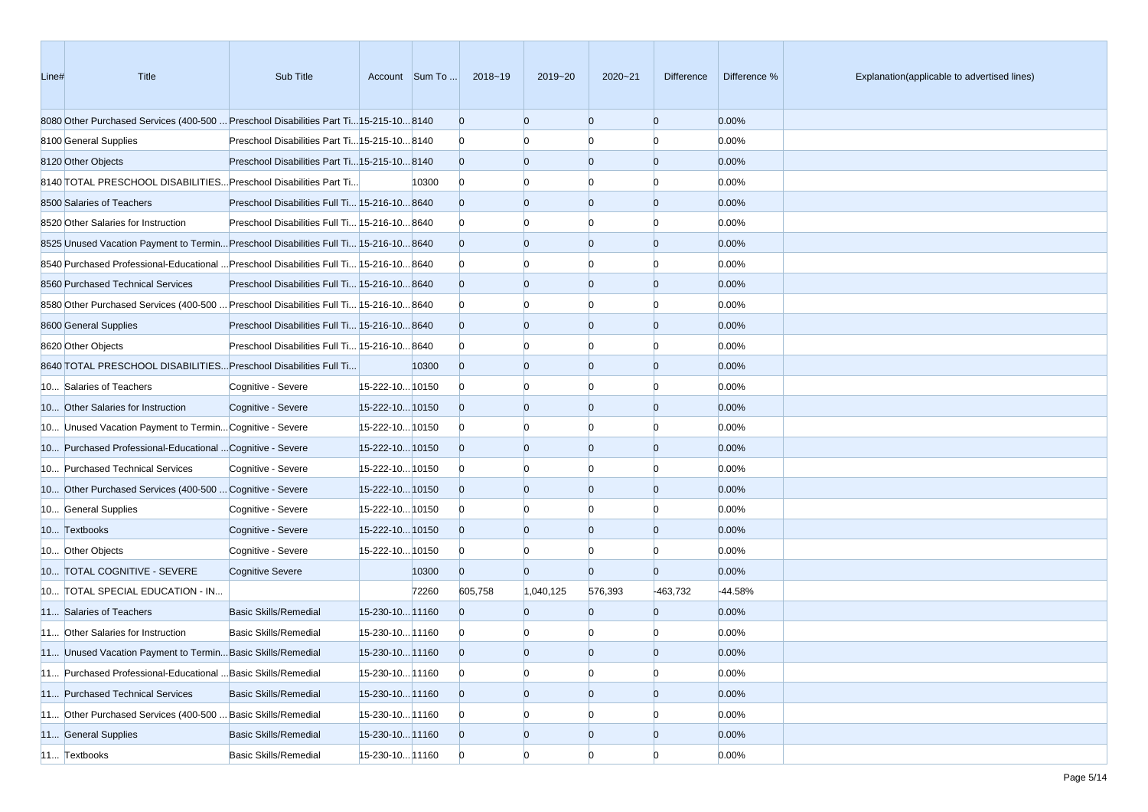| Line# | Title                                                                                  | Sub Title                                     |                 | Account Sum To | 2018~19        | 2019~20        | 2020~21        | Difference     | Difference % | Explanation(applicable to advertised lines) |
|-------|----------------------------------------------------------------------------------------|-----------------------------------------------|-----------------|----------------|----------------|----------------|----------------|----------------|--------------|---------------------------------------------|
|       | 8080 Other Purchased Services (400-500  Preschool Disabilities Part Ti15-215-10 8140   |                                               |                 |                | $\mathbf{0}$   | $\overline{0}$ | $\overline{0}$ | $\mathbf{0}$   | 0.00%        |                                             |
|       | 8100 General Supplies                                                                  | Preschool Disabilities Part Ti 15-215-10 8140 |                 |                | $\mathbf{0}$   | n              |                | n              | 0.00%        |                                             |
|       | 8120 Other Objects                                                                     | Preschool Disabilities Part Ti 15-215-10 8140 |                 |                | $\overline{0}$ | $\overline{0}$ | $\overline{0}$ | $\mathbf{0}$   | 0.00%        |                                             |
|       | 8140 TOTAL PRESCHOOL DISABILITIES Preschool Disabilities Part Ti                       |                                               |                 | 10300          | $\mathbf{0}$   | $\Omega$       | n              | n              | 0.00%        |                                             |
|       | 8500 Salaries of Teachers                                                              | Preschool Disabilities Full Ti 15-216-10 8640 |                 |                | $\mathbf{0}$   | $\overline{0}$ | $\overline{0}$ | $\mathbf{0}$   | 0.00%        |                                             |
|       | 8520 Other Salaries for Instruction                                                    | Preschool Disabilities Full Ti 15-216-10 8640 |                 |                | $\mathbf{0}$   | $\Omega$       | $\Omega$       | $\Omega$       | 0.00%        |                                             |
|       | 8525 Unused Vacation Payment to Termin Preschool Disabilities Full Ti 15-216-10 8640   |                                               |                 |                | $\overline{0}$ | $\overline{0}$ | $\overline{0}$ | $\mathbf{0}$   | 0.00%        |                                             |
|       | 8640 Purchased Professional-Educational  Preschool Disabilities Full Ti 15-216-10 8640 |                                               |                 |                | $\bf{0}$       | n              | n              | n              | 0.00%        |                                             |
|       | 8560 Purchased Technical Services                                                      | Preschool Disabilities Full Ti 15-216-10 8640 |                 |                | $\overline{0}$ | $\overline{0}$ | $\overline{0}$ | $\mathbf{0}$   | 0.00%        |                                             |
|       | 8680 Other Purchased Services (400-500  Preschool Disabilities Full Ti 15-216-10 8640  |                                               |                 |                | $\mathbf{0}$   | n              |                | n              | 0.00%        |                                             |
|       | 8600 General Supplies                                                                  | Preschool Disabilities Full Ti 15-216-10 8640 |                 |                | $\overline{0}$ | $\overline{0}$ | $\overline{0}$ | $\mathbf{0}$   | 0.00%        |                                             |
|       | 8620 Other Objects                                                                     | Preschool Disabilities Full Ti 15-216-10 8640 |                 |                | $\bf{0}$       | $\Omega$       | n              | n              | 0.00%        |                                             |
|       | 8640 TOTAL PRESCHOOL DISABILITIES Preschool Disabilities Full Ti                       |                                               |                 | 10300          | $\mathbf{0}$   | $\overline{0}$ | $\overline{0}$ | $\mathbf{0}$   | 0.00%        |                                             |
|       | 10 Salaries of Teachers                                                                | Cognitive - Severe                            | 15-222-10 10150 |                | $\bf{0}$       | $\Omega$       | $\Omega$       | n              | 0.00%        |                                             |
|       | 10 Other Salaries for Instruction                                                      | Cognitive - Severe                            | 15-222-1010150  |                | $\overline{0}$ | $\overline{0}$ | $\overline{0}$ | $\mathbf{0}$   | 0.00%        |                                             |
|       | 10 Unused Vacation Payment to Termin Cognitive - Severe                                |                                               | 15-222-10 10150 |                | $\bf{0}$       | n              | n              | n              | 0.00%        |                                             |
|       | 10 Purchased Professional-Educational  Cognitive - Severe                              |                                               | 15-222-10 10150 |                | $\overline{0}$ | $\overline{0}$ | $\overline{0}$ | $\mathbf{0}$   | 0.00%        |                                             |
|       | 10 Purchased Technical Services                                                        | Cognitive - Severe                            | 15-222-10 10150 |                | $\bf{0}$       | n              |                | n              | 0.00%        |                                             |
|       | 10 Other Purchased Services (400-500  Cognitive - Severe                               |                                               | 15-222-10 10150 |                | $\overline{0}$ | $\overline{0}$ | $\overline{0}$ | $\mathbf{0}$   | 0.00%        |                                             |
|       | 10 General Supplies                                                                    | Cognitive - Severe                            | 15-222-10 10150 |                | $\bf{0}$       | $\Omega$       | n              | $\Omega$       | 0.00%        |                                             |
|       | 10 Textbooks                                                                           | Cognitive - Severe                            | 15-222-10 10150 |                | $\overline{0}$ | $\overline{0}$ | $\overline{0}$ | $\mathbf{0}$   | 0.00%        |                                             |
|       | 10 Other Objects                                                                       | Cognitive - Severe                            | 15-222-10 10150 |                | $\bf{0}$       | $\Omega$       | n              | $\Omega$       | 0.00%        |                                             |
|       | 10 TOTAL COGNITIVE - SEVERE                                                            | <b>Cognitive Severe</b>                       |                 | 10300          | $\overline{0}$ | $\overline{0}$ | $\Omega$       | $\overline{0}$ | 0.00%        |                                             |
|       | 10 TOTAL SPECIAL EDUCATION - IN                                                        |                                               |                 | 72260          | 605,758        | 1,040,125      | 576,393        | $-463,732$     | -44.58%      |                                             |
|       | 11 Salaries of Teachers                                                                | <b>Basic Skills/Remedial</b>                  | 15-230-10 11160 |                | $\Omega$       | $\Omega$       | $\Omega$       | $\overline{0}$ | 0.00%        |                                             |
|       | 11 Other Salaries for Instruction                                                      | <b>Basic Skills/Remedial</b>                  | 15-230-10 11160 |                | $\bf{0}$       | n              |                | n              | 0.00%        |                                             |
|       | 11 Unused Vacation Payment to Termin Basic Skills/Remedial                             |                                               | 15-230-10 11160 |                | $\Omega$       | $\Omega$       | $\Omega$       | $\Omega$       | 0.00%        |                                             |
|       | 11 Purchased Professional-Educational  Basic Skills/Remedial                           |                                               | 15-230-10 11160 |                | $\overline{0}$ | $\overline{0}$ | $\overline{0}$ | $\overline{0}$ | 0.00%        |                                             |
|       | 11 Purchased Technical Services                                                        | <b>Basic Skills/Remedial</b>                  | 15-230-10 11160 |                | $\mathbf{0}$   | $\mathbf{0}$   | $\overline{0}$ | $\overline{0}$ | 0.00%        |                                             |
|       | 11 Other Purchased Services (400-500  Basic Skills/Remedial                            |                                               | 15-230-10 11160 |                | $\mathbf{0}$   | $\overline{0}$ |                | $\Omega$       | 0.00%        |                                             |
|       | 11 General Supplies                                                                    | <b>Basic Skills/Remedial</b>                  | 15-230-10 11160 |                | $\mathbf{0}$   | $\mathbf{0}$   | $\mathbf{0}$   | $\overline{0}$ | 0.00%        |                                             |
|       | 11 Textbooks                                                                           | Basic Skills/Remedial                         | 15-230-10 11160 |                | $\overline{0}$ | $\overline{0}$ | $\Omega$       | $\Omega$       | 0.00%        |                                             |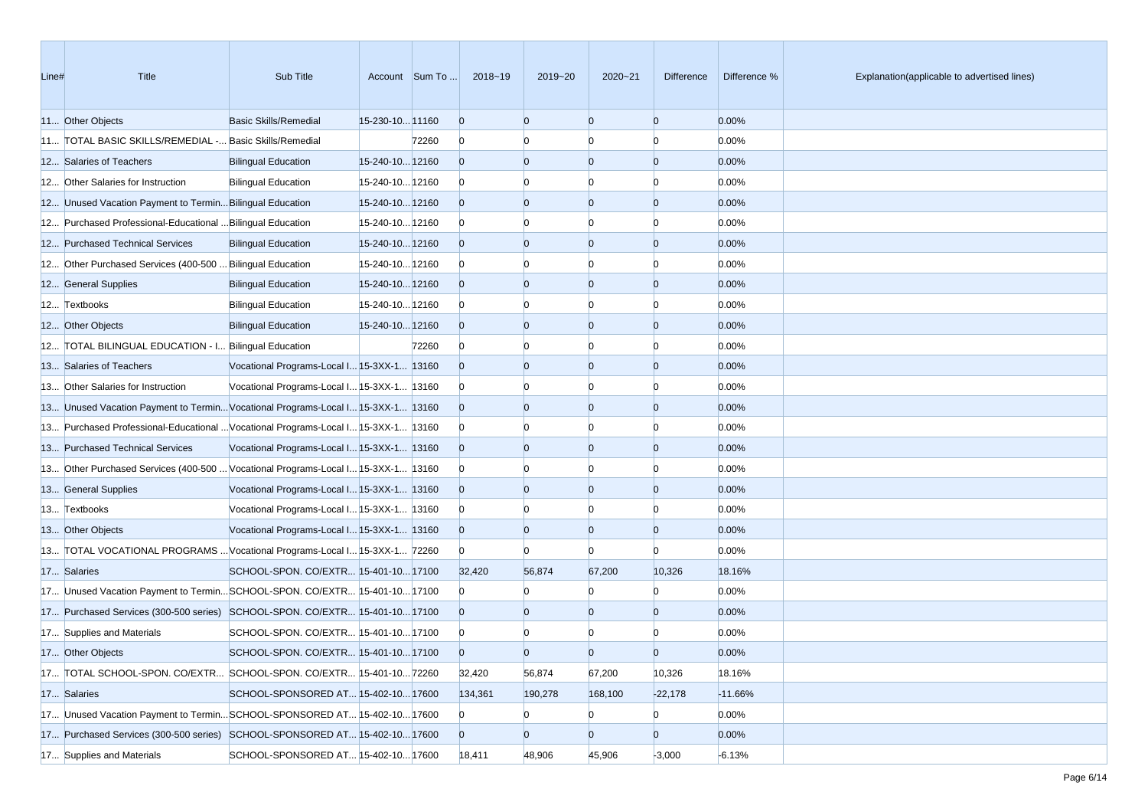| Line# | <b>Title</b>                                                                      | Sub Title                                  |                 | Account Sum To | 2018~19        | 2019~20        | 2020~21        | <b>Difference</b> | Difference % | Explanation(applicable to advertised lines) |
|-------|-----------------------------------------------------------------------------------|--------------------------------------------|-----------------|----------------|----------------|----------------|----------------|-------------------|--------------|---------------------------------------------|
|       | 11 Other Objects                                                                  | <b>Basic Skills/Remedial</b>               | 15-230-10 11160 |                | $\overline{0}$ | $\Omega$       | $\overline{0}$ | $\overline{0}$    | 0.00%        |                                             |
|       | 11 TOTAL BASIC SKILLS/REMEDIAL - Basic Skills/Remedial                            |                                            |                 | 72260          | $\mathbf{0}$   |                | $\Omega$       | $\Omega$          | 0.00%        |                                             |
|       | 12 Salaries of Teachers                                                           | <b>Bilingual Education</b>                 | 15-240-10 12160 |                | $\overline{0}$ | $\Omega$       | $\overline{0}$ | $\overline{0}$    | 0.00%        |                                             |
|       | 12 Other Salaries for Instruction                                                 | <b>Bilingual Education</b>                 | 15-240-10 12160 |                | $\mathbf{0}$   |                |                |                   | 0.00%        |                                             |
|       | 12 Unused Vacation Payment to Termin Bilingual Education                          |                                            | 15-240-10 12160 |                | $\overline{0}$ | $\Omega$       | $\overline{0}$ | $\overline{0}$    | 0.00%        |                                             |
|       | 12 Purchased Professional-Educational  Bilingual Education                        |                                            | 15-240-10 12160 |                | $\mathbf{0}$   |                | $\Omega$       | $\Omega$          | 0.00%        |                                             |
|       | 12 Purchased Technical Services                                                   | <b>Bilingual Education</b>                 | 15-240-10 12160 |                | $\overline{0}$ | $\Omega$       | $\overline{0}$ | $\overline{0}$    | 0.00%        |                                             |
|       | 12 Other Purchased Services (400-500  Bilingual Education                         |                                            | 15-240-10 12160 |                | $\overline{0}$ |                | n              | $\Omega$          | 0.00%        |                                             |
|       | 12 General Supplies                                                               | <b>Bilingual Education</b>                 | 15-240-10 12160 |                | $\overline{0}$ | $\Omega$       | $\overline{0}$ | $\overline{0}$    | 0.00%        |                                             |
|       | 12 Textbooks                                                                      | <b>Bilingual Education</b>                 | 15-240-10 12160 |                | $\overline{0}$ |                | n              | n                 | 0.00%        |                                             |
|       | 12 Other Objects                                                                  | <b>Bilingual Education</b>                 | 15-240-10 12160 |                | $\overline{0}$ | $\Omega$       | $\overline{0}$ | $\overline{0}$    | 0.00%        |                                             |
|       | 12 TOTAL BILINGUAL EDUCATION - I Bilingual Education                              |                                            |                 | 72260          | $\overline{0}$ |                | n              | $\Omega$          | 0.00%        |                                             |
|       | 13 Salaries of Teachers                                                           | Vocational Programs-Local I 15-3XX-1 13160 |                 |                | $\overline{0}$ | $\Omega$       | $\overline{0}$ | $\overline{0}$    | 0.00%        |                                             |
|       | 13 Other Salaries for Instruction                                                 | Vocational Programs-Local I 15-3XX-1 13160 |                 |                | $\overline{0}$ |                | $\Omega$       | $\Omega$          | 0.00%        |                                             |
|       | 13 Unused Vacation Payment to TerminVocational Programs-Local I 15-3XX-1 13160    |                                            |                 |                | $\overline{0}$ | $\Omega$       | $\overline{0}$ | $\overline{0}$    | 0.00%        |                                             |
|       | 13 Purchased Professional-Educational  Vocational Programs-Local I 15-3XX-1 13160 |                                            |                 |                | $\overline{0}$ |                |                |                   | 0.00%        |                                             |
|       | 13 Purchased Technical Services                                                   | Vocational Programs-Local I 15-3XX-1 13160 |                 |                | $\overline{0}$ | $\Omega$       | $\overline{0}$ | $\overline{0}$    | 0.00%        |                                             |
|       | 13 Other Purchased Services (400-500  Vocational Programs-Local I 15-3XX-1 13160  |                                            |                 |                | $\overline{0}$ |                | $\Omega$       | $\Omega$          | 0.00%        |                                             |
|       | 13 General Supplies                                                               | Vocational Programs-Local I 15-3XX-1 13160 |                 |                | $\overline{0}$ | $\Omega$       | $\overline{0}$ | $\overline{0}$    | 0.00%        |                                             |
|       | 13 Textbooks                                                                      | Vocational Programs-Local I 15-3XX-1 13160 |                 |                | $\overline{0}$ |                | $\Omega$       | $\Omega$          | 0.00%        |                                             |
|       | 13 Other Objects                                                                  | Vocational Programs-Local I 15-3XX-1 13160 |                 |                | $\overline{0}$ | $\Omega$       | $\overline{0}$ | $\overline{0}$    | 0.00%        |                                             |
|       | 13 TOTAL VOCATIONAL PROGRAMS  Vocational Programs-Local I 15-3XX-1 72260          |                                            |                 |                | $\overline{0}$ | $\Omega$       | $\Omega$       | n                 | 0.00%        |                                             |
|       | 17 Salaries                                                                       | SCHOOL-SPON. CO/EXTR 15-401-10 17100       |                 |                | 32,420         | 56,874         | 67,200         | 10,326            | 18.16%       |                                             |
|       | 17 Unused Vacation Payment to TerminSCHOOL-SPON. CO/EXTR 15-401-10 17100          |                                            |                 |                | $\overline{0}$ |                | $\Omega$       | $\Omega$          | 0.00%        |                                             |
|       | 17 Purchased Services (300-500 series) SCHOOL-SPON. CO/EXTR 15-401-10 17100       |                                            |                 |                | $\overline{0}$ | $\Omega$       | $\overline{0}$ | $\overline{0}$    | 0.00%        |                                             |
|       | 17 Supplies and Materials                                                         | SCHOOL-SPON. CO/EXTR 15-401-1017100        |                 |                | $\overline{0}$ |                |                |                   | 0.00%        |                                             |
|       | 17 Other Objects                                                                  | SCHOOL-SPON. CO/EXTR 15-401-10 17100       |                 |                | $\Omega$       | $\Omega$       | $\Omega$       | $\Omega$          | 0.00%        |                                             |
|       | 17 TOTAL SCHOOL-SPON. CO/EXTR SCHOOL-SPON. CO/EXTR 15-401-10 72260                |                                            |                 |                | 32,420         | 56,874         | 67,200         | 10,326            | 18.16%       |                                             |
|       | 17 Salaries                                                                       | SCHOOL-SPONSORED AT 15-402-10 17600        |                 |                | 134,361        | 190,278        | 168,100        | $-22,178$         | $-11.66%$    |                                             |
|       | 17 Unused Vacation Payment to TerminSCHOOL-SPONSORED AT 15-402-1017600            |                                            |                 |                | $\bf{0}$       | $\Omega$       | $\overline{0}$ | $\overline{0}$    | 0.00%        |                                             |
|       | 17 Purchased Services (300-500 series) SCHOOL-SPONSORED AT 15-402-10 17600        |                                            |                 |                | $\overline{0}$ | $\overline{0}$ | $\overline{0}$ | $\overline{0}$    | 0.00%        |                                             |
|       | 17 Supplies and Materials                                                         | SCHOOL-SPONSORED AT 15-402-10 17600        |                 |                | 18,411         | 48,906         | 45,906         | $-3,000$          | $-6.13%$     |                                             |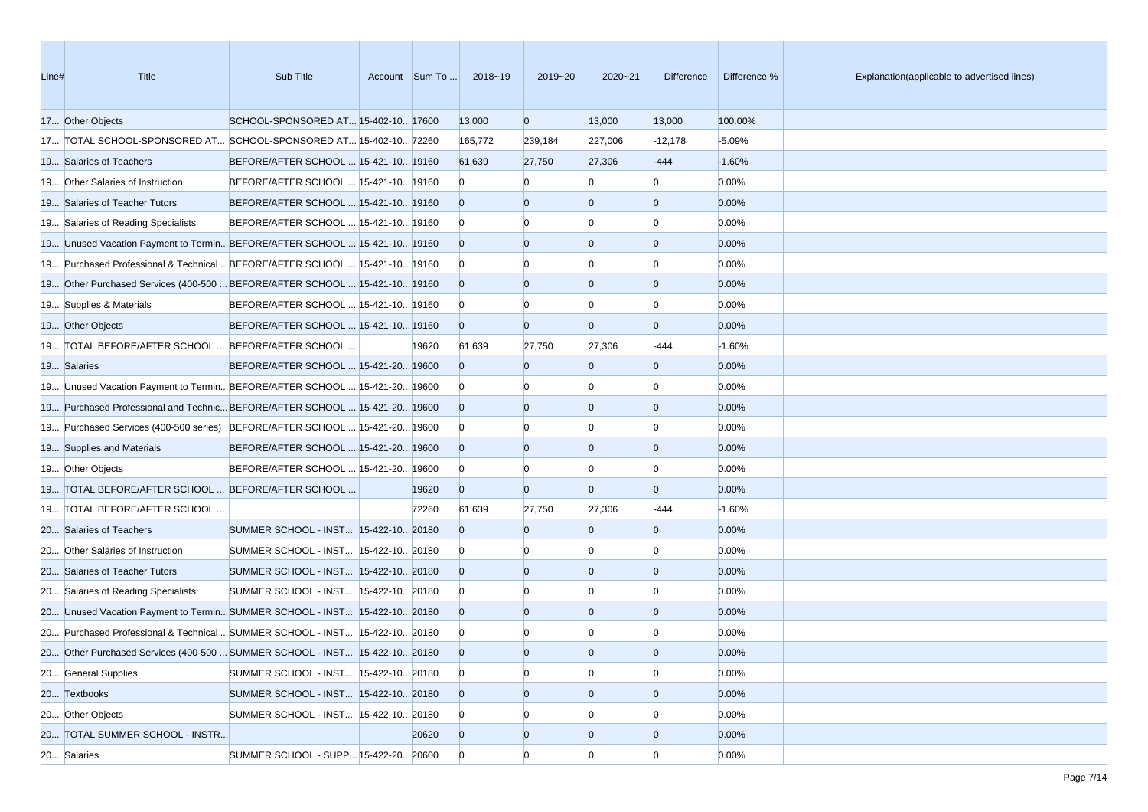| Line# | <b>Title</b>                                                                     | Sub Title                            | Account Sum To | 2018~19        | 2019~20        | $2020 - 21$    | <b>Difference</b> | Difference % | Explanation(applicable to advertised lines) |
|-------|----------------------------------------------------------------------------------|--------------------------------------|----------------|----------------|----------------|----------------|-------------------|--------------|---------------------------------------------|
|       | 17 Other Objects                                                                 | SCHOOL-SPONSORED AT 15-402-10 17600  |                | 13,000         | $\overline{0}$ | 13,000         | 13,000            | 100.00%      |                                             |
|       | 17 TOTAL SCHOOL-SPONSORED AT SCHOOL-SPONSORED AT 15-402-10 72260                 |                                      |                | 165,772        | 239,184        | 227,006        | $-12,178$         | $-5.09%$     |                                             |
|       | 19 Salaries of Teachers                                                          | BEFORE/AFTER SCHOOL  15-421-10 19160 |                | 61,639         | 27,750         | 27,306         | $-444$            | $-1.60%$     |                                             |
|       | 19 Other Salaries of Instruction                                                 | BEFORE/AFTER SCHOOL  15-421-10 19160 |                | $\mathbf{0}$   |                | n              | $\Omega$          | 0.00%        |                                             |
|       | 19 Salaries of Teacher Tutors                                                    | BEFORE/AFTER SCHOOL  15-421-10 19160 |                | $\overline{0}$ | $\Omega$       | $\Omega$       | $\overline{0}$    | 0.00%        |                                             |
|       | 19 Salaries of Reading Specialists                                               | BEFORE/AFTER SCHOOL  15-421-10 19160 |                | $\overline{0}$ |                | $\Omega$       | $\Omega$          | 0.00%        |                                             |
|       | 19 Unused Vacation Payment to TerminBEFORE/AFTER SCHOOL  15-421-10 19160         |                                      |                | $\overline{0}$ | $\Omega$       | $\overline{0}$ | $\overline{0}$    | 0.00%        |                                             |
|       | 19 Purchased Professional & Technical  BEFORE/AFTER SCHOOL  15-421-10 19160      |                                      |                | $\overline{0}$ |                | n              | $\Omega$          | 0.00%        |                                             |
|       | 19 Other Purchased Services (400-500  BEFORE/AFTER SCHOOL  15-421-10 19160       |                                      |                | $\overline{0}$ | $\Omega$       | $\overline{0}$ | $\overline{0}$    | 0.00%        |                                             |
|       | 19 Supplies & Materials                                                          | BEFORE/AFTER SCHOOL  15-421-10 19160 |                | $\overline{0}$ |                | n              | $\Omega$          | 0.00%        |                                             |
|       | 19 Other Objects                                                                 | BEFORE/AFTER SCHOOL  15-421-10 19160 |                | $\overline{0}$ | $\Omega$       | $\overline{0}$ | $\overline{0}$    | 0.00%        |                                             |
|       | 19 TOTAL BEFORE/AFTER SCHOOL  BEFORE/AFTER SCHOOL                                |                                      | 19620          | 61,639         | 27,750         | 27,306         | $-444$            | $-1.60%$     |                                             |
|       | 19 Salaries                                                                      | BEFORE/AFTER SCHOOL  15-421-20 19600 |                | $\Omega$       | $\Omega$       | $\overline{0}$ | $\overline{0}$    | 0.00%        |                                             |
|       | 19 Unused Vacation Payment to Termin BEFORE/AFTER SCHOOL  15-421-20 19600        |                                      |                | $\overline{0}$ |                | $\Omega$       | $\Omega$          | 0.00%        |                                             |
|       | 19600 19 Purchased Professional and Technic BEFORE/AFTER SCHOOL  15-421-20 19600 |                                      |                | $\overline{0}$ | $\Omega$       | $\Omega$       | $\overline{0}$    | 0.00%        |                                             |
|       | 19 Purchased Services (400-500 series) BEFORE/AFTER SCHOOL  15-421-20 19600      |                                      |                | $\overline{0}$ |                |                | n                 | 0.00%        |                                             |
|       | 19 Supplies and Materials                                                        | BEFORE/AFTER SCHOOL  15-421-20 19600 |                | $\overline{0}$ | $\Omega$       | $\overline{0}$ | $\overline{0}$    | 0.00%        |                                             |
|       | 19 Other Objects                                                                 | BEFORE/AFTER SCHOOL  15-421-20 19600 |                | $\mathbf{0}$   |                | $\Omega$       | $\Omega$          | 0.00%        |                                             |
|       | 19 TOTAL BEFORE/AFTER SCHOOL  BEFORE/AFTER SCHOOL                                |                                      | 19620          | $\overline{0}$ | $\overline{0}$ | $\overline{0}$ | $\overline{0}$    | 0.00%        |                                             |
|       | 19 TOTAL BEFORE/AFTER SCHOOL                                                     |                                      | 72260          | 61,639         | 27,750         | 27,306         | $-444$            | $-1.60%$     |                                             |
|       | 20 Salaries of Teachers                                                          | SUMMER SCHOOL - INST 15-422-10 20180 |                | $\Omega$       | $\Omega$       | $\Omega$       | $\overline{0}$    | 0.00%        |                                             |
|       | 20 Other Salaries of Instruction                                                 | SUMMER SCHOOL - INST 15-422-10 20180 |                | $\mathbf{0}$   |                | n              | $\Omega$          | 0.00%        |                                             |
|       | 20 Salaries of Teacher Tutors                                                    | SUMMER SCHOOL - INST 15-422-10 20180 |                | $\overline{0}$ | $\Omega$       | $\Omega$       | $\overline{0}$    | 0.00%        |                                             |
|       | 20 Salaries of Reading Specialists                                               | SUMMER SCHOOL - INST 15-422-10 20180 |                | $\overline{0}$ |                | n              | $\Omega$          | 0.00%        |                                             |
|       | 20 Unused Vacation Payment to TerminSUMMER SCHOOL - INST 15-422-1020180          |                                      |                | $\overline{0}$ | $\Omega$       | $\overline{0}$ | $\overline{0}$    | 0.00%        |                                             |
|       | 20 Purchased Professional & Technical  SUMMER SCHOOL - INST 15-422-10 20180      |                                      |                | $\overline{0}$ |                |                |                   | 0.00%        |                                             |
|       | 20 Other Purchased Services (400-500  SUMMER SCHOOL - INST 15-422-10 20180       |                                      |                | $\overline{0}$ | $\Omega$       | $\Omega$       | $\Omega$          | 0.00%        |                                             |
|       | 20 General Supplies                                                              | SUMMER SCHOOL - INST 15-422-10 20180 |                | $\mathbf{0}$   | $\Omega$       | $\overline{0}$ | $\overline{0}$    | 0.00%        |                                             |
|       | 20 Textbooks                                                                     | SUMMER SCHOOL - INST 15-422-10 20180 |                | $\overline{0}$ | $\overline{0}$ | $\overline{0}$ | $\overline{0}$    | 0.00%        |                                             |
|       | 20 Other Objects                                                                 | SUMMER SCHOOL - INST 15-422-10 20180 |                | $\mathbf{0}$   | $\Omega$       | $\Omega$       | $\Omega$          | 0.00%        |                                             |
|       | 20 TOTAL SUMMER SCHOOL - INSTR                                                   |                                      | 20620          | $\overline{0}$ | $\overline{0}$ | $\overline{0}$ | $\overline{0}$    | 0.00%        |                                             |
|       | 20 Salaries                                                                      | SUMMER SCHOOL - SUPP 15-422-20 20600 |                | $\overline{0}$ | $\Omega$       | $\Omega$       | $\Omega$          | 0.00%        |                                             |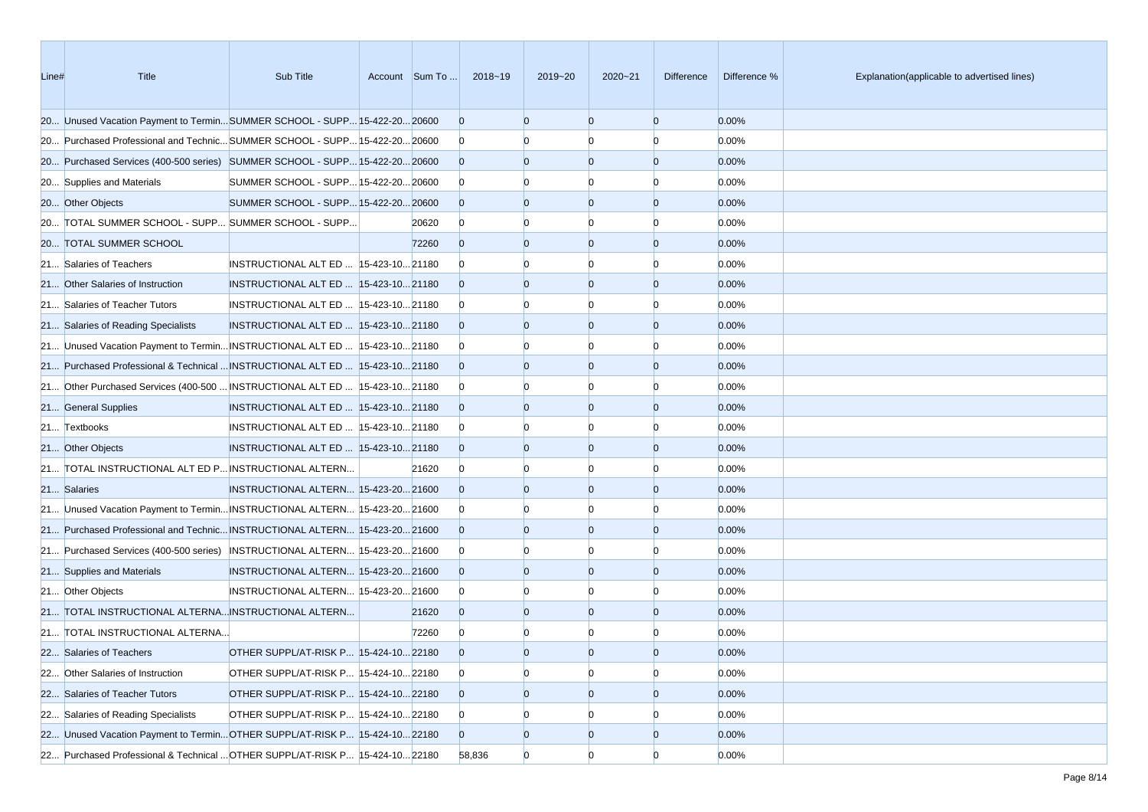| Line# | Title                                                                         | Sub Title                              |       | Account Sum To  2018~19 | 2019~20        | $2020 - 21$    | Difference     | Difference % | Explanation(applicable to advertised lines) |
|-------|-------------------------------------------------------------------------------|----------------------------------------|-------|-------------------------|----------------|----------------|----------------|--------------|---------------------------------------------|
|       | 20 Unused Vacation Payment to TerminSUMMER SCHOOL - SUPP 15-422-20 20600      |                                        |       | $\overline{0}$          | $\Omega$       | $\overline{0}$ | $\overline{0}$ | 0.00%        |                                             |
|       | 20 Purchased Professional and Technic SUMMER SCHOOL - SUPP 15-422-20 20600    |                                        |       | $\overline{0}$          |                | n              | $\Omega$       | 0.00%        |                                             |
|       | 20 Purchased Services (400-500 series) SUMMER SCHOOL - SUPP 15-422-20 20600   |                                        |       | $\overline{0}$          | $\overline{0}$ | $\overline{0}$ | $\overline{0}$ | 0.00%        |                                             |
|       | 20 Supplies and Materials                                                     | SUMMER SCHOOL - SUPP 15-422-20 20600   |       | $\overline{0}$          |                |                | $\Omega$       | 0.00%        |                                             |
|       | 20 Other Objects                                                              | SUMMER SCHOOL - SUPP 15-422-20 20600   |       | $\overline{0}$          | $\Omega$       | $\overline{0}$ | $\overline{0}$ | 0.00%        |                                             |
|       | 20 TOTAL SUMMER SCHOOL - SUPP SUMMER SCHOOL - SUPP                            |                                        | 20620 | $\overline{0}$          | n              | n              | $\Omega$       | 0.00%        |                                             |
|       | 20 TOTAL SUMMER SCHOOL                                                        |                                        | 72260 | $\overline{0}$          | $\overline{0}$ | $\overline{0}$ | $\overline{0}$ | 0.00%        |                                             |
|       | 21 Salaries of Teachers                                                       | INSTRUCTIONAL ALT ED   15-423-10 21180 |       | $\overline{0}$          |                |                | $\Omega$       | 0.00%        |                                             |
|       | 21 Other Salaries of Instruction                                              | INSTRUCTIONAL ALT ED  15-423-10 21180  |       | $\overline{0}$          | $\Omega$       | $\overline{0}$ | $\overline{0}$ | 0.00%        |                                             |
|       | 21 Salaries of Teacher Tutors                                                 | INSTRUCTIONAL ALT ED   15-423-10 21180 |       | $\overline{0}$          |                | n              | $\Omega$       | 0.00%        |                                             |
|       | 21 Salaries of Reading Specialists                                            | INSTRUCTIONAL ALT ED  15-423-10 21180  |       | $\overline{0}$          | $\Omega$       | $\overline{0}$ | $\overline{0}$ | 0.00%        |                                             |
|       | 21 Unused Vacation Payment to Termin INSTRUCTIONAL ALT ED  15-423-10 21180    |                                        |       | $\overline{0}$          |                | n              | $\Omega$       | 0.00%        |                                             |
|       | 21 Purchased Professional & Technical  INSTRUCTIONAL ALT ED   15-423-10 21180 |                                        |       | $\overline{0}$          | $\Omega$       | $\overline{0}$ | $\overline{0}$ | 0.00%        |                                             |
|       | 21 Other Purchased Services (400-500  INSTRUCTIONAL ALT ED   15-423-10 21180  |                                        |       | $\overline{0}$          |                | n              | $\Omega$       | 0.00%        |                                             |
|       | 21 General Supplies                                                           | INSTRUCTIONAL ALT ED  15-423-10 21180  |       | $\overline{0}$          | $\overline{0}$ | $\overline{0}$ | $\overline{0}$ | 0.00%        |                                             |
|       | 21 Textbooks                                                                  | INSTRUCTIONAL ALT ED  15-423-10 21180  |       | $\overline{0}$          |                | n              | $\Omega$       | 0.00%        |                                             |
|       | 21 Other Objects                                                              | INSTRUCTIONAL ALT ED  15-423-10 21180  |       | $\overline{0}$          | $\Omega$       | $\overline{0}$ | $\overline{0}$ | 0.00%        |                                             |
|       | 21 TOTAL INSTRUCTIONAL ALT ED P INSTRUCTIONAL ALTERN                          |                                        | 21620 | $\overline{0}$          |                | n              | $\Omega$       | 0.00%        |                                             |
|       | 21 Salaries                                                                   | INSTRUCTIONAL ALTERN 15-423-20 21600   |       | $\Omega$                | $\overline{0}$ | $\overline{0}$ | $\overline{0}$ | 0.00%        |                                             |
|       | 21 Unused Vacation Payment to Termin INSTRUCTIONAL ALTERN 15-423-20 21600     |                                        |       | $\overline{0}$          |                | n              | $\Omega$       | 0.00%        |                                             |
|       | 21 Purchased Professional and Technic INSTRUCTIONAL ALTERN 15-423-20 21600    |                                        |       | $\overline{0}$          | $\Omega$       | $\overline{0}$ | $\overline{0}$ | 0.00%        |                                             |
|       | 21 Purchased Services (400-500 series) INSTRUCTIONAL ALTERN 15-423-20 21600   |                                        |       | $\bf{0}$                |                | n              | $\Omega$       | 0.00%        |                                             |
|       | 21 Supplies and Materials                                                     | INSTRUCTIONAL ALTERN 15-423-20 21600   |       | $\overline{0}$          | $\overline{0}$ | $\overline{0}$ | $\overline{0}$ | 0.00%        |                                             |
|       | 21 Other Objects                                                              | INSTRUCTIONAL ALTERN 15-423-20 21600   |       | $\overline{0}$          |                | n              | $\Omega$       | 0.00%        |                                             |
|       | 21 TOTAL INSTRUCTIONAL ALTERNA INSTRUCTIONAL ALTERN                           |                                        | 21620 | $\overline{0}$          | $\overline{0}$ | $\overline{0}$ | $\overline{0}$ | 0.00%        |                                             |
|       | 21 TOTAL INSTRUCTIONAL ALTERNA                                                |                                        | 72260 | $\overline{0}$          |                |                | O              | 0.00%        |                                             |
|       | 22 Salaries of Teachers                                                       | OTHER SUPPL/AT-RISK P 15-424-10 22180  |       | $\Omega$                | $\Omega$       | $\Omega$       | $\Omega$       | 0.00%        |                                             |
|       | 22 Other Salaries of Instruction                                              | OTHER SUPPL/AT-RISK P 15-424-10 22180  |       | $\overline{0}$          | $\overline{0}$ | $\overline{0}$ | $\overline{0}$ | 0.00%        |                                             |
|       | 22 Salaries of Teacher Tutors                                                 | OTHER SUPPL/AT-RISK P 15-424-10 22180  |       | $\overline{0}$          | $\overline{0}$ | $\overline{0}$ | $\overline{0}$ | 0.00%        |                                             |
|       | 22 Salaries of Reading Specialists                                            | OTHER SUPPL/AT-RISK P 15-424-10 22180  |       | $\overline{0}$          | $\overline{0}$ |                | $\overline{0}$ | 0.00%        |                                             |
|       | 22 Unused Vacation Payment to Termin OTHER SUPPL/AT-RISK P 15-424-10 22180    |                                        |       | $\overline{0}$          | $\overline{0}$ | $\overline{0}$ | $\mathbf{0}$   | 0.00%        |                                             |
|       | 22 Purchased Professional & Technical  OTHER SUPPL/AT-RISK P 15-424-10 22180  |                                        |       | 58,836                  | $\overline{0}$ | $\Omega$       | $\overline{0}$ | 0.00%        |                                             |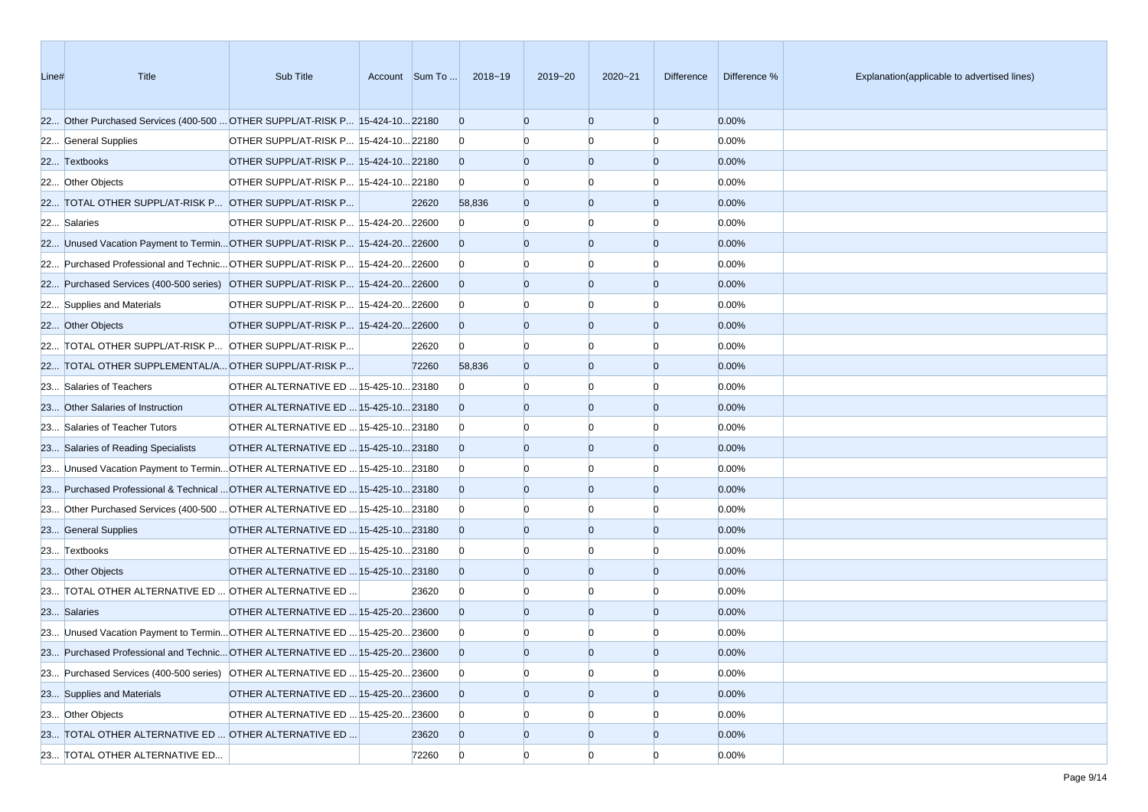| Line# | <b>Title</b>                                                                 | Sub Title                             | Account Sum To | 2018~19        | 2019~20        | $2020 - 21$    | Difference     | Difference % | Explanation(applicable to advertised lines) |
|-------|------------------------------------------------------------------------------|---------------------------------------|----------------|----------------|----------------|----------------|----------------|--------------|---------------------------------------------|
|       | 22 Other Purchased Services (400-500  OTHER SUPPL/AT-RISK P 15-424-10 22180  |                                       |                | $\overline{0}$ | $\Omega$       | $\overline{0}$ | $\overline{0}$ | 0.00%        |                                             |
|       | 22 General Supplies                                                          | OTHER SUPPL/AT-RISK P 15-424-10 22180 |                | $\overline{0}$ |                | $\Omega$       | $\Omega$       | 0.00%        |                                             |
|       | 22 Textbooks                                                                 | OTHER SUPPL/AT-RISK P 15-424-10 22180 |                | $\overline{0}$ | $\Omega$       | $\overline{0}$ | $\overline{0}$ | 0.00%        |                                             |
|       | 22 Other Objects                                                             | OTHER SUPPL/AT-RISK P 15-424-10 22180 |                | $\overline{0}$ |                |                | n              | 0.00%        |                                             |
|       | 22 TOTAL OTHER SUPPL/AT-RISK P OTHER SUPPL/AT-RISK P                         |                                       | 22620          | 58,836         | $\Omega$       | $\overline{0}$ | $\overline{0}$ | 0.00%        |                                             |
|       | 22 Salaries                                                                  | OTHER SUPPL/AT-RISK P 15-424-20 22600 |                | $\overline{0}$ |                | $\Omega$       | n              | 0.00%        |                                             |
|       | 22 Unused Vacation Payment to TerminOTHER SUPPL/AT-RISK P 15-424-2022600     |                                       |                | $\overline{0}$ | $\Omega$       | $\overline{0}$ | $\overline{0}$ | 0.00%        |                                             |
|       | 22 Purchased Professional and Technic OTHER SUPPL/AT-RISK P 15-424-20 22600  |                                       |                | $\overline{0}$ |                | $\Omega$       | n              | 0.00%        |                                             |
|       | 22 Purchased Services (400-500 series) OTHER SUPPL/AT-RISK P 15-424-20 22600 |                                       |                | $\overline{0}$ | $\Omega$       | $\overline{0}$ | $\overline{0}$ | 0.00%        |                                             |
|       | 22 Supplies and Materials                                                    | OTHER SUPPL/AT-RISK P 15-424-20 22600 |                | $\overline{0}$ |                | $\Omega$       | n              | 0.00%        |                                             |
|       | 22 Other Objects                                                             | OTHER SUPPL/AT-RISK P 15-424-20 22600 |                | $\overline{0}$ | $\Omega$       | $\overline{0}$ | $\overline{0}$ | 0.00%        |                                             |
|       | 22 TOTAL OTHER SUPPL/AT-RISK P OTHER SUPPL/AT-RISK P                         |                                       | 22620          | $\overline{0}$ | n              | n              | n              | 0.00%        |                                             |
|       | 22 TOTAL OTHER SUPPLEMENTAL/A OTHER SUPPL/AT-RISK P                          |                                       | 72260          | 58,836         | $\Omega$       | $\overline{0}$ | $\overline{0}$ | 0.00%        |                                             |
|       | 23 Salaries of Teachers                                                      | OTHER ALTERNATIVE ED  15-425-10 23180 |                | $\Omega$       |                | $\Omega$       | n              | 0.00%        |                                             |
|       | 23 Other Salaries of Instruction                                             | OTHER ALTERNATIVE ED  15-425-10 23180 |                | $\Omega$       | $\Omega$       | $\overline{0}$ | $\overline{0}$ | 0.00%        |                                             |
|       | 23 Salaries of Teacher Tutors                                                | OTHER ALTERNATIVE ED  15-425-10 23180 |                | $\overline{0}$ |                |                | n              | 0.00%        |                                             |
|       | 23 Salaries of Reading Specialists                                           | OTHER ALTERNATIVE ED  15-425-10 23180 |                | $\overline{0}$ | $\Omega$       | $\overline{0}$ | $\overline{0}$ | 0.00%        |                                             |
|       | 23 Unused Vacation Payment to Termin OTHER ALTERNATIVE ED  15-425-10 23180   |                                       |                | $\overline{0}$ |                | $\Omega$       | n              | 0.00%        |                                             |
|       | 23 Purchased Professional & Technical  OTHER ALTERNATIVE ED  15-425-10 23180 |                                       |                | $\overline{0}$ | $\Omega$       | $\overline{0}$ | $\overline{0}$ | 0.00%        |                                             |
|       | 23 Other Purchased Services (400-500  OTHER ALTERNATIVE ED  15-425-10 23180  |                                       |                | $\overline{0}$ |                | $\Omega$       | n              | 0.00%        |                                             |
|       | 23 General Supplies                                                          | OTHER ALTERNATIVE ED  15-425-10 23180 |                | $\overline{0}$ | $\Omega$       | $\overline{0}$ | $\overline{0}$ | 0.00%        |                                             |
|       | 23 Textbooks                                                                 | OTHER ALTERNATIVE ED  15-425-10 23180 |                | $\overline{0}$ |                | n              | n              | 0.00%        |                                             |
|       | 23 Other Objects                                                             | OTHER ALTERNATIVE ED  15-425-10 23180 |                | $\overline{0}$ | $\Omega$       | $\Omega$       | $\overline{0}$ | 0.00%        |                                             |
|       | 23 TOTAL OTHER ALTERNATIVE ED  OTHER ALTERNATIVE ED                          |                                       | 23620          | $\overline{0}$ |                | $\Omega$       | n              | 0.00%        |                                             |
|       | 23 Salaries                                                                  | OTHER ALTERNATIVE ED  15-425-20 23600 |                | $\overline{0}$ | $\Omega$       | $\overline{0}$ | $\overline{0}$ | 0.00%        |                                             |
|       | 23 Unused Vacation Payment to Termin OTHER ALTERNATIVE ED  15-425-20 23600   |                                       |                | $\mathbf{0}$   |                |                |                | 0.00%        |                                             |
|       | 23 Purchased Professional and Technic OTHER ALTERNATIVE ED  15-425-20 23600  |                                       |                | $\Omega$       |                | $\Omega$       | $\Omega$       | 0.00%        |                                             |
|       | 23 Purchased Services (400-500 series) OTHER ALTERNATIVE ED  15-425-20 23600 |                                       |                | $\overline{0}$ | $\Omega$       | $\overline{0}$ | $\Omega$       | 0.00%        |                                             |
|       | 23 Supplies and Materials                                                    | OTHER ALTERNATIVE ED  15-425-20 23600 |                | $\overline{0}$ | $\overline{0}$ | $\overline{0}$ | $\overline{0}$ | 0.00%        |                                             |
|       | 23 Other Objects                                                             | OTHER ALTERNATIVE ED  15-425-20 23600 |                | $\overline{0}$ | $\Omega$       | $\Omega$       |                | 0.00%        |                                             |
|       | 23 TOTAL OTHER ALTERNATIVE ED  OTHER ALTERNATIVE ED                          |                                       | 23620          | $\overline{0}$ | $\overline{0}$ | $\overline{0}$ | $\overline{0}$ | 0.00%        |                                             |
|       | 23 TOTAL OTHER ALTERNATIVE ED                                                |                                       | 72260          | $\overline{0}$ | $\overline{0}$ | $\overline{0}$ | $\Omega$       | 0.00%        |                                             |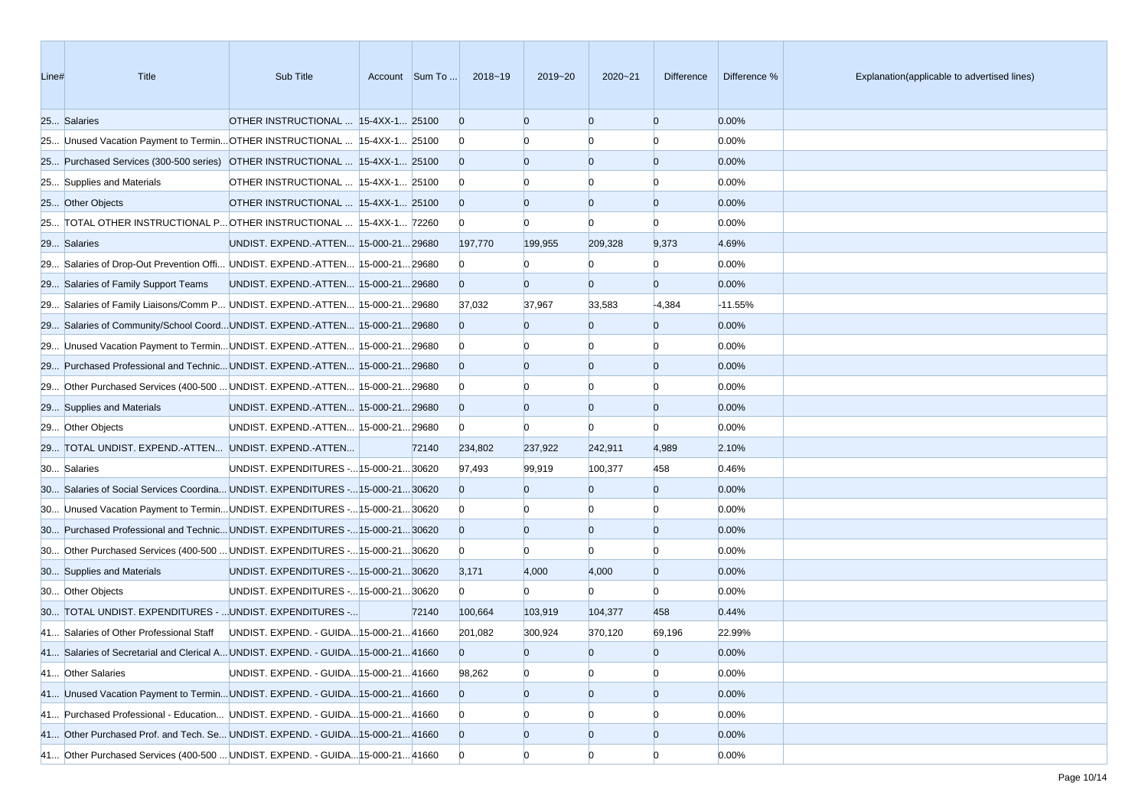| Line# | Title                                                                             | Sub Title                               | Account Sum To | 2018~19        | 2019~20        | 2020~21        | Difference     | Difference % | Explanation(applicable to advertised lines) |
|-------|-----------------------------------------------------------------------------------|-----------------------------------------|----------------|----------------|----------------|----------------|----------------|--------------|---------------------------------------------|
|       | 25 Salaries                                                                       | OTHER INSTRUCTIONAL  15-4XX-1 25100     |                | $\overline{0}$ | $\Omega$       | $\overline{0}$ | $\overline{0}$ | 0.00%        |                                             |
|       | 25 Unused Vacation Payment to Termin OTHER INSTRUCTIONAL  15-4XX-1 25100          |                                         |                | $\mathbf{0}$   |                | n              | n              | 0.00%        |                                             |
|       | 25 Purchased Services (300-500 series) OTHER INSTRUCTIONAL  15-4XX-1 25100        |                                         |                | $\overline{0}$ | $\Omega$       | $\overline{0}$ | $\overline{0}$ | 0.00%        |                                             |
|       | 25 Supplies and Materials                                                         | OTHER INSTRUCTIONAL  15-4XX-1 25100     |                | $\bf{0}$       |                | n              | n              | 0.00%        |                                             |
|       | 25 Other Objects                                                                  | OTHER INSTRUCTIONAL  15-4XX-1 25100     |                | $\overline{0}$ |                | $\overline{0}$ | $\overline{0}$ | 0.00%        |                                             |
|       | 25 TOTAL OTHER INSTRUCTIONAL P OTHER INSTRUCTIONAL  15-4XX-1 72260                |                                         |                | $\bf{0}$       |                | $\Omega$       | n              | 0.00%        |                                             |
|       | 29 Salaries                                                                       | UNDIST. EXPEND.-ATTEN 15-000-2129680    |                | 197,770        | 199,955        | 209,328        | 9,373          | 4.69%        |                                             |
|       | 29 Salaries of Drop-Out Prevention Offi UNDIST. EXPEND.-ATTEN 15-000-21 29680     |                                         |                | $\bf{0}$       |                | n              |                | 0.00%        |                                             |
|       | 29 Salaries of Family Support Teams                                               | UNDIST. EXPEND.-ATTEN 15-000-21 29680   |                | $\Omega$       | $\Omega$       | $\overline{0}$ | $\overline{0}$ | 0.00%        |                                             |
|       | 29 Salaries of Family Liaisons/Comm P UNDIST. EXPEND.-ATTEN 15-000-21 29680       |                                         |                | 37,032         | 37,967         | 33,583         | $-4,384$       | $-11.55%$    |                                             |
|       | 29 Salaries of Community/School CoordUNDIST. EXPEND.-ATTEN 15-000-2129680         |                                         |                | $\overline{0}$ | $\mathbf{0}$   | $\overline{0}$ | $\overline{0}$ | 0.00%        |                                             |
|       | 29 Unused Vacation Payment to Termin UNDIST. EXPEND.-ATTEN 15-000-21 29680        |                                         |                | $\bf{0}$       |                |                | n              | 0.00%        |                                             |
|       | 29 Purchased Professional and Technic UNDIST. EXPEND.-ATTEN 15-000-21 29680       |                                         |                | $\Omega$       |                | $\overline{0}$ | $\overline{0}$ | 0.00%        |                                             |
|       | 29 Other Purchased Services (400-500  UNDIST. EXPEND.-ATTEN  15-000-21 29680      |                                         |                | $\overline{0}$ |                |                | n              | 0.00%        |                                             |
|       | 29 Supplies and Materials                                                         | UNDIST. EXPEND.-ATTEN 15-000-21 29680   |                | $\overline{0}$ | $\overline{0}$ | $\overline{0}$ | $\overline{0}$ | 0.00%        |                                             |
|       | 29 Other Objects                                                                  | UNDIST. EXPEND.-ATTEN 15-000-21 29680   |                | $\bf{0}$       | $\Omega$       | $\Omega$       | $\Omega$       | 0.00%        |                                             |
|       | 29 TOTAL UNDIST. EXPEND.-ATTEN UNDIST. EXPEND.-ATTEN                              |                                         | 72140          | 234,802        | 237,922        | 242,911        | 4,989          | 2.10%        |                                             |
|       | 30 Salaries                                                                       | UNDIST. EXPENDITURES - 15-000-21 30620  |                | 97,493         | 99,919         | 100,377        | 458            | 0.46%        |                                             |
|       | 30 Salaries of Social Services Coordina UNDIST. EXPENDITURES - 15-000-21 30620    |                                         |                | $\overline{0}$ | $\Omega$       | $\overline{0}$ | $\overline{0}$ | 0.00%        |                                             |
|       | 30 Unused Vacation Payment to TerminUNDIST. EXPENDITURES - 15-000-21 30620        |                                         |                | $\bf{0}$       |                |                | n              | 0.00%        |                                             |
|       | 30 Purchased Professional and Technic UNDIST. EXPENDITURES - 15-000-21 30620      |                                         |                | $\overline{0}$ | $\Omega$       | $\overline{0}$ | $\overline{0}$ | 0.00%        |                                             |
|       | 30 Other Purchased Services (400-500  UNDIST. EXPENDITURES - 15-000-21 30620      |                                         |                | $\bf{0}$       | $\Omega$       | $\Omega$       | $\Omega$       | 0.00%        |                                             |
|       | 30 Supplies and Materials                                                         | UNDIST. EXPENDITURES - 15-000-21 30620  |                | 3,171          | 4,000          | 4,000          | $\overline{0}$ | 0.00%        |                                             |
|       | 30 Other Objects                                                                  | UNDIST. EXPENDITURES - 15-000-21 30620  |                | $\overline{0}$ | $\mathbf{0}$   | n              | $\Omega$       | 0.00%        |                                             |
|       | 30 TOTAL UNDIST. EXPENDITURES -  UNDIST. EXPENDITURES -                           |                                         | 72140          | 100,664        | 103,919        | 104,377        | 458            | 0.44%        |                                             |
|       | 41 Salaries of Other Professional Staff                                           | UNDIST. EXPEND. - GUIDA 15-000-21 41660 |                | 201,082        | 300,924        | 370,120        | 69,196         | 22.99%       |                                             |
|       | 41 Salaries of Secretarial and Clerical A UNDIST. EXPEND. - GUIDA 15-000-21 41660 |                                         |                | $\Omega$       | $\overline{0}$ | $\overline{0}$ | $\overline{0}$ | 0.00%        |                                             |
|       | 41 Other Salaries                                                                 | UNDIST. EXPEND. - GUIDA 15-000-21 41660 |                | 98,262         | $\overline{0}$ | $\overline{0}$ | $\overline{0}$ | 0.00%        |                                             |
|       | 41 Unused Vacation Payment to Termin UNDIST. EXPEND. - GUIDA 15-000-21 41660      |                                         |                | $\overline{0}$ | $\overline{0}$ | $\overline{0}$ | $\overline{0}$ | 0.00%        |                                             |
|       | 41 Purchased Professional - Education UNDIST. EXPEND. - GUIDA 15-000-21 41660     |                                         |                | $\overline{0}$ |                |                |                | 0.00%        |                                             |
|       | 41 Other Purchased Prof. and Tech. Se UNDIST. EXPEND. - GUIDA 15-000-21 41660     |                                         |                | $\overline{0}$ | $\overline{0}$ | $\overline{0}$ | $\overline{0}$ | 0.00%        |                                             |
|       | 41 Other Purchased Services (400-500  UNDIST. EXPEND. - GUIDA 15-000-21 41660     |                                         |                | $\overline{0}$ | $\Omega$       | $\Omega$       | n              | 0.00%        |                                             |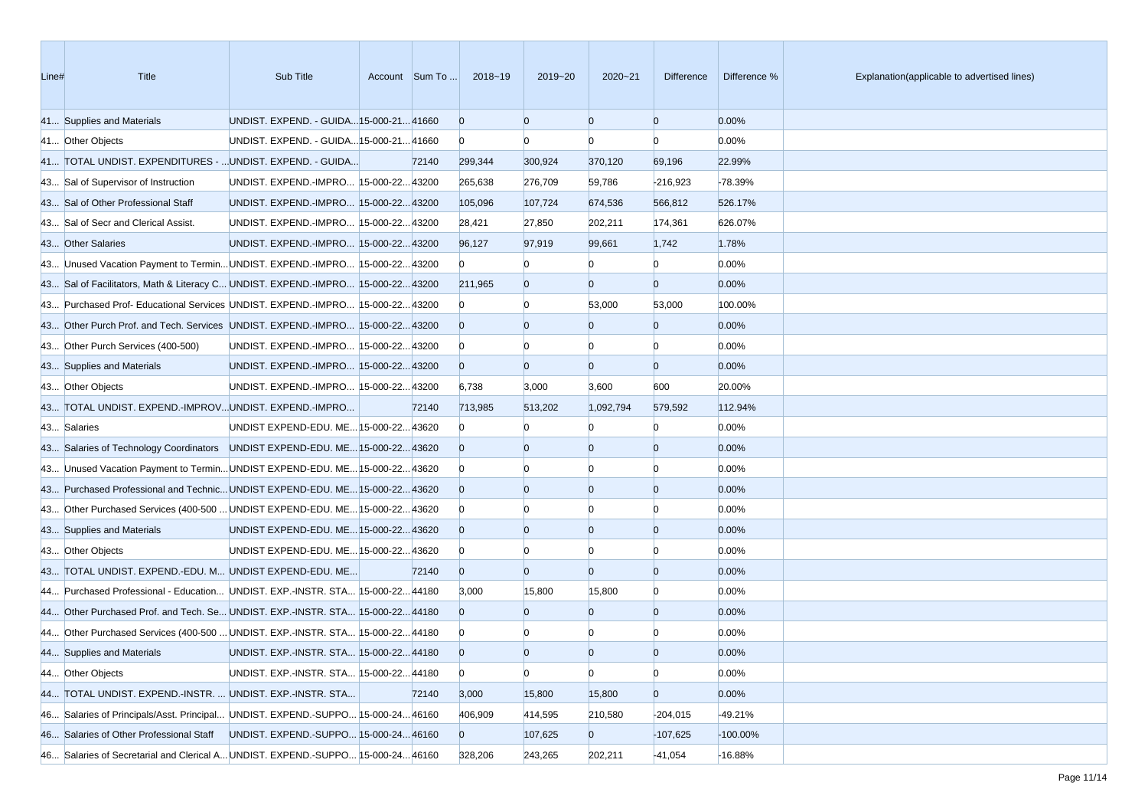| Line# | <b>Title</b>                                                                    | Sub Title                               | Account Sum To | 2018~19        | 2019~20        | $2020 - 21$    | <b>Difference</b> | Difference % | Explanation(applicable to advertised lines) |
|-------|---------------------------------------------------------------------------------|-----------------------------------------|----------------|----------------|----------------|----------------|-------------------|--------------|---------------------------------------------|
|       | 41 Supplies and Materials                                                       | UNDIST. EXPEND. - GUIDA 15-000-21 41660 |                | $\overline{0}$ | $\Omega$       | $\overline{0}$ | $\overline{0}$    | 0.00%        |                                             |
|       | 41 Other Objects                                                                | UNDIST. EXPEND. - GUIDA 15-000-21 41660 |                | $\overline{0}$ | $\Omega$       | $\Omega$       | $\Omega$          | 0.00%        |                                             |
|       | 41 TOTAL UNDIST. EXPENDITURES -  UNDIST. EXPEND. - GUIDA                        |                                         | 72140          | 299,344        | 300,924        | 370,120        | 69,196            | 22.99%       |                                             |
|       | 43 Sal of Supervisor of Instruction                                             | UNDIST. EXPEND.-IMPRO 15-000-22 43200   |                | 265,638        | 276,709        | 59,786         | $-216,923$        | $-78.39%$    |                                             |
|       | 43 Sal of Other Professional Staff                                              | UNDIST. EXPEND.-IMPRO 15-000-2243200    |                | 105,096        | 107,724        | 674,536        | 566,812           | 526.17%      |                                             |
|       | 43 Sal of Secr and Clerical Assist.                                             | UNDIST. EXPEND.-IMPRO 15-000-22 43200   |                | 28,421         | 27,850         | 202,211        | 174,361           | 626.07%      |                                             |
|       | 43 Other Salaries                                                               | UNDIST. EXPEND.-IMPRO 15-000-22 43200   |                | 96,127         | 97,919         | 99,661         | 1,742             | 1.78%        |                                             |
|       | 43 Unused Vacation Payment to Termin UNDIST. EXPEND.-IMPRO 15-000-22 43200      |                                         |                | $\overline{0}$ | $\Omega$       |                | $\Omega$          | 0.00%        |                                             |
|       | 43 Sal of Facilitators, Math & Literacy C UNDIST. EXPEND.-IMPRO 15-000-22 43200 |                                         |                | 211,965        | $\overline{0}$ | $\overline{0}$ | $\overline{0}$    | 0.00%        |                                             |
|       | 43 Purchased Prof- Educational Services UNDIST. EXPEND.-IMPRO 15-000-22 43200   |                                         |                | $\overline{0}$ | n              | 53,000         | 53,000            | 100.00%      |                                             |
|       | 43 Other Purch Prof. and Tech. Services UNDIST. EXPEND.-IMPRO 15-000-22 43200   |                                         |                | $\overline{0}$ | $\Omega$       | $\overline{0}$ | $\overline{0}$    | 0.00%        |                                             |
|       | 43 Other Purch Services (400-500)                                               | UNDIST. EXPEND.-IMPRO 15-000-22 43200   |                | $\overline{0}$ |                |                | $\Omega$          | 0.00%        |                                             |
|       | 43 Supplies and Materials                                                       | UNDIST. EXPEND.-IMPRO 15-000-22 43200   |                | $\overline{0}$ | $\Omega$       | $\overline{0}$ | $\overline{0}$    | 0.00%        |                                             |
|       | 43 Other Objects                                                                | UNDIST. EXPEND.-IMPRO 15-000-22 43200   |                | 6,738          | 3,000          | 3,600          | 600               | 20.00%       |                                             |
|       | 43 TOTAL UNDIST. EXPEND.-IMPROVUNDIST. EXPEND.-IMPRO                            |                                         | 72140          | 713,985        | 513,202        | 1,092,794      | 579,592           | 112.94%      |                                             |
|       | 43 Salaries                                                                     | UNDIST EXPEND-EDU. ME 15-000-22 43620   |                | $\overline{0}$ |                | n              | $\Omega$          | 0.00%        |                                             |
|       | 43 Salaries of Technology Coordinators UNDIST EXPEND-EDU. ME 15-000-22 43620    |                                         |                | $\overline{0}$ |                | $\Omega$       | $\overline{0}$    | 0.00%        |                                             |
|       | 43 Unused Vacation Payment to Termin UNDIST EXPEND-EDU. ME 15-000-22 43620      |                                         |                | $\overline{0}$ |                |                | $\Omega$          | 0.00%        |                                             |
|       | 43 Purchased Professional and Technic UNDIST EXPEND-EDU. ME 15-000-22 43620     |                                         |                | $\overline{0}$ | $\Omega$       | $\overline{0}$ | $\overline{0}$    | 0.00%        |                                             |
|       | 43 Other Purchased Services (400-500  UNDIST EXPEND-EDU. ME 15-000-22 43620     |                                         |                | $\overline{0}$ |                | $\Omega$       | $\Omega$          | 0.00%        |                                             |
|       | 43 Supplies and Materials                                                       | UNDIST EXPEND-EDU. ME 15-000-22 43620   |                | $\overline{0}$ | $\Omega$       | $\overline{0}$ | $\overline{0}$    | 0.00%        |                                             |
|       | 43 Other Objects                                                                | UNDIST EXPEND-EDU. ME 15-000-22 43620   |                | $\mathbf{0}$   |                |                | $\Omega$          | 0.00%        |                                             |
|       | 43 TOTAL UNDIST. EXPEND.-EDU. M UNDIST EXPEND-EDU. ME                           |                                         | 72140          | $\overline{0}$ | $\Omega$       | $\Omega$       | $\overline{0}$    | 0.00%        |                                             |
|       | 44 Purchased Professional - Education UNDIST. EXP.-INSTR. STA 15-000-22 44180   |                                         |                | 3,000          | 15,800         | 15,800         | $\Omega$          | 0.00%        |                                             |
|       | 44 Other Purchased Prof. and Tech. Se UNDIST. EXP.-INSTR. STA 15-000-22 44180   |                                         |                | $\Omega$       | $\Omega$       | $\overline{0}$ | $\overline{0}$    | 0.00%        |                                             |
|       | 44 Other Purchased Services (400-500  UNDIST. EXP.-INSTR. STA 15-000-22 44180   |                                         |                | $\bf{0}$       |                |                | $\Omega$          | 0.00%        |                                             |
|       | 44 Supplies and Materials                                                       | UNDIST. EXP.-INSTR. STA 15-000-22 44180 |                | $\overline{0}$ | $\Omega$       | $\Omega$       | $\Omega$          | 0.00%        |                                             |
|       | 44 Other Objects                                                                | UNDIST. EXP.-INSTR. STA 15-000-2244180  |                | $\overline{0}$ | $\bf{0}$       | $\overline{0}$ | $\overline{0}$    | 0.00%        |                                             |
|       | 44 TOTAL UNDIST. EXPEND.-INSTR.  UNDIST. EXP.-INSTR. STA                        |                                         | 72140          | 3,000          | 15,800         | 15,800         | $\overline{0}$    | 0.00%        |                                             |
|       | 46 Salaries of Principals/Asst. Principal UNDIST. EXPEND.-SUPPO 15-000-24 46160 |                                         |                | 406,909        | 414,595        | 210,580        | $-204,015$        | $-49.21%$    |                                             |
|       | 46 Salaries of Other Professional Staff UNDIST. EXPEND.-SUPPO 15-000-24 46160   |                                         |                | $\overline{0}$ | 107,625        | $\overline{0}$ | $-107,625$        | $-100.00\%$  |                                             |
|       | 46 Salaries of Secretarial and Clerical A UNDIST. EXPEND.-SUPPO 15-000-24 46160 |                                         |                | 328,206        | 243,265        | 202,211        | $-41,054$         | $-16.88%$    |                                             |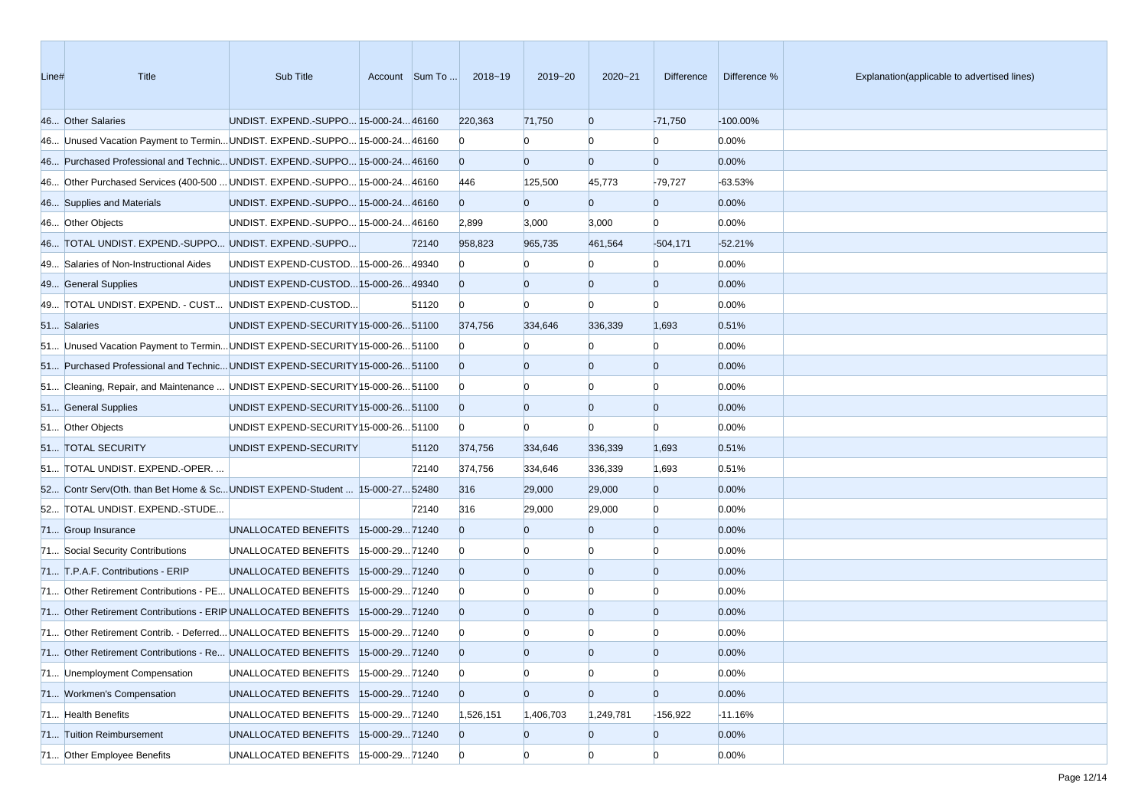| Line# | Title                                                                          | Sub Title                              |                |       | Account Sum To  2018~19 | 2019~20        | $2020 - 21$    | Difference     | Difference % | Explanation(applicable to advertised lines) |
|-------|--------------------------------------------------------------------------------|----------------------------------------|----------------|-------|-------------------------|----------------|----------------|----------------|--------------|---------------------------------------------|
|       | 46 Other Salaries                                                              | UNDIST. EXPEND.-SUPPO 15-000-2446160   |                |       | 220,363                 | 71,750         | $\overline{0}$ | $-71,750$      | $-100.00\%$  |                                             |
|       | 46 Unused Vacation Payment to Termin UNDIST. EXPEND.-SUPPO 15-000-24 46160     |                                        |                |       | $\overline{0}$          |                | $\Omega$       | $\Omega$       | 0.00%        |                                             |
|       | 46 Purchased Professional and Technic UNDIST. EXPEND.-SUPPO 15-000-24 46160    |                                        |                |       | $\overline{0}$          | $\Omega$       | $\overline{0}$ | $\overline{0}$ | 0.00%        |                                             |
|       | 46 Other Purchased Services (400-500  UNDIST. EXPEND.-SUPPO 15-000-24 46160    |                                        |                |       | 446                     | 125,500        | 45,773         | $-79,727$      | -63.53%      |                                             |
|       | 46 Supplies and Materials                                                      | UNDIST. EXPEND.-SUPPO 15-000-24 46160  |                |       | $\Omega$                | $\overline{0}$ | $\overline{0}$ | $\overline{0}$ | 0.00%        |                                             |
|       | 46 Other Objects                                                               | UNDIST. EXPEND.-SUPPO 15-000-24 46160  |                |       | 2,899                   | 3,000          | 3,000          | $\mathbf{0}$   | 0.00%        |                                             |
|       | 46 TOTAL UNDIST. EXPEND.-SUPPO UNDIST. EXPEND.-SUPPO                           |                                        |                | 72140 | 958,823                 | 965,735        | 461,564        | $-504,171$     | $-52.21%$    |                                             |
|       | 49 Salaries of Non-Instructional Aides                                         | UNDIST EXPEND-CUSTOD 15-000-26 49340   |                |       | $\Omega$                |                |                |                | 0.00%        |                                             |
|       | 49 General Supplies                                                            | UNDIST EXPEND-CUSTOD 15-000-26 49340   |                |       | $\overline{0}$          | $\Omega$       | $\Omega$       | $\Omega$       | 0.00%        |                                             |
|       | 49 TOTAL UNDIST. EXPEND. - CUST UNDIST EXPEND-CUSTOD                           |                                        |                | 51120 | $\mathbf{0}$            | $\Omega$       | $\Omega$       | $\Omega$       | 0.00%        |                                             |
|       | 51 Salaries                                                                    | UNDIST EXPEND-SECURITY 15-000-26 51100 |                |       | 374,756                 | 334,646        | 336,339        | 1,693          | 0.51%        |                                             |
|       | 51 Unused Vacation Payment to Termin UNDIST EXPEND-SECURITY 15-000-26 51100    |                                        |                |       | $\bf{0}$                |                |                | $\Omega$       | 0.00%        |                                             |
|       | 51 Purchased Professional and Technic UNDIST EXPEND-SECURITY 15-000-26 51100   |                                        |                |       | $\overline{0}$          |                | $\Omega$       | $\Omega$       | 0.00%        |                                             |
|       | 51 Cleaning, Repair, and Maintenance  UNDIST EXPEND-SECURITY 15-000-26 51100   |                                        |                |       | $\mathbf{0}$            |                |                | $\Omega$       | 0.00%        |                                             |
|       | 51 General Supplies                                                            | UNDIST EXPEND-SECURITY 15-000-26 51100 |                |       | $\overline{0}$          | $\Omega$       | $\Omega$       | $\overline{0}$ | 0.00%        |                                             |
|       | 51 Other Objects                                                               | UNDIST EXPEND-SECURITY 15-000-26 51100 |                |       | $\overline{0}$          | $\Omega$       | $\Omega$       | $\Omega$       | 0.00%        |                                             |
|       | 51 TOTAL SECURITY                                                              | UNDIST EXPEND-SECURITY                 |                | 51120 | 374,756                 | 334,646        | 336,339        | 1,693          | 0.51%        |                                             |
|       | 51 TOTAL UNDIST. EXPEND.-OPER.                                                 |                                        |                | 72140 | 374,756                 | 334,646        | 336,339        | 1,693          | 0.51%        |                                             |
|       | 52 Contr Serv(Oth. than Bet Home & ScUNDIST EXPEND-Student  15-000-27 52480    |                                        |                |       | 316                     | 29,000         | 29,000         | $\overline{0}$ | 0.00%        |                                             |
|       | 52 TOTAL UNDIST. EXPEND.-STUDE                                                 |                                        |                | 72140 | 316                     | 29,000         | 29,000         | $\overline{0}$ | 0.00%        |                                             |
|       | 71 Group Insurance                                                             | UNALLOCATED BENEFITS 15-000-2971240    |                |       | $\Omega$                |                | $\Omega$       | $\Omega$       | 0.00%        |                                             |
|       | 71 Social Security Contributions                                               | UNALLOCATED BENEFITS   15-000-29 71240 |                |       | $\mathbf{0}$            |                | $\Omega$       | $\Omega$       | 0.00%        |                                             |
|       | 71 T.P.A.F. Contributions - ERIP                                               | UNALLOCATED BENEFITS 15-000-2971240    |                |       | $\overline{0}$          | $\Omega$       | $\Omega$       | $\overline{0}$ | 0.00%        |                                             |
|       | 71 Other Retirement Contributions - PE UNALLOCATED BENEFITS                    |                                        | 15-000-2971240 |       | $\bf{0}$                |                |                | $\Omega$       | 0.00%        |                                             |
|       | 71 Other Retirement Contributions - ERIP UNALLOCATED BENEFITS  15-000-29 71240 |                                        |                |       | $\overline{0}$          |                | $\overline{0}$ | $\Omega$       | 0.00%        |                                             |
|       | 71 Other Retirement Contrib. - Deferred UNALLOCATED BENEFITS  15-000-29 71240  |                                        |                |       | $\bf{0}$                |                |                |                | 0.00%        |                                             |
|       | 71 Other Retirement Contributions - Re UNALLOCATED BENEFITS 15-000-29 71240    |                                        |                |       | $\overline{0}$          | $\Omega$       | $\Omega$       | $\Omega$       | 0.00%        |                                             |
|       | 71 Unemployment Compensation                                                   | UNALLOCATED BENEFITS  15-000-29 71240  |                |       | $\overline{0}$          | $\overline{0}$ | $\overline{0}$ | $\bf{0}$       | 0.00%        |                                             |
|       | 71 Workmen's Compensation                                                      | UNALLOCATED BENEFITS 15-000-2971240    |                |       | $\overline{0}$          | $\overline{0}$ | $\overline{0}$ | $\overline{0}$ | 0.00%        |                                             |
|       | 71 Health Benefits                                                             | UNALLOCATED BENEFITS  15-000-29 71240  |                |       | 1,526,151               | 1,406,703      | 1,249,781      | $-156,922$     | $-11.16%$    |                                             |
|       | 71 Tuition Reimbursement                                                       | UNALLOCATED BENEFITS 15-000-2971240    |                |       | $\overline{0}$          | $\overline{0}$ | $\overline{0}$ | $\overline{0}$ | 0.00%        |                                             |
|       | 71 Other Employee Benefits                                                     | UNALLOCATED BENEFITS  15-000-29 71240  |                |       | $\overline{0}$          | $\overline{0}$ | $\Omega$       | $\Omega$       | 0.00%        |                                             |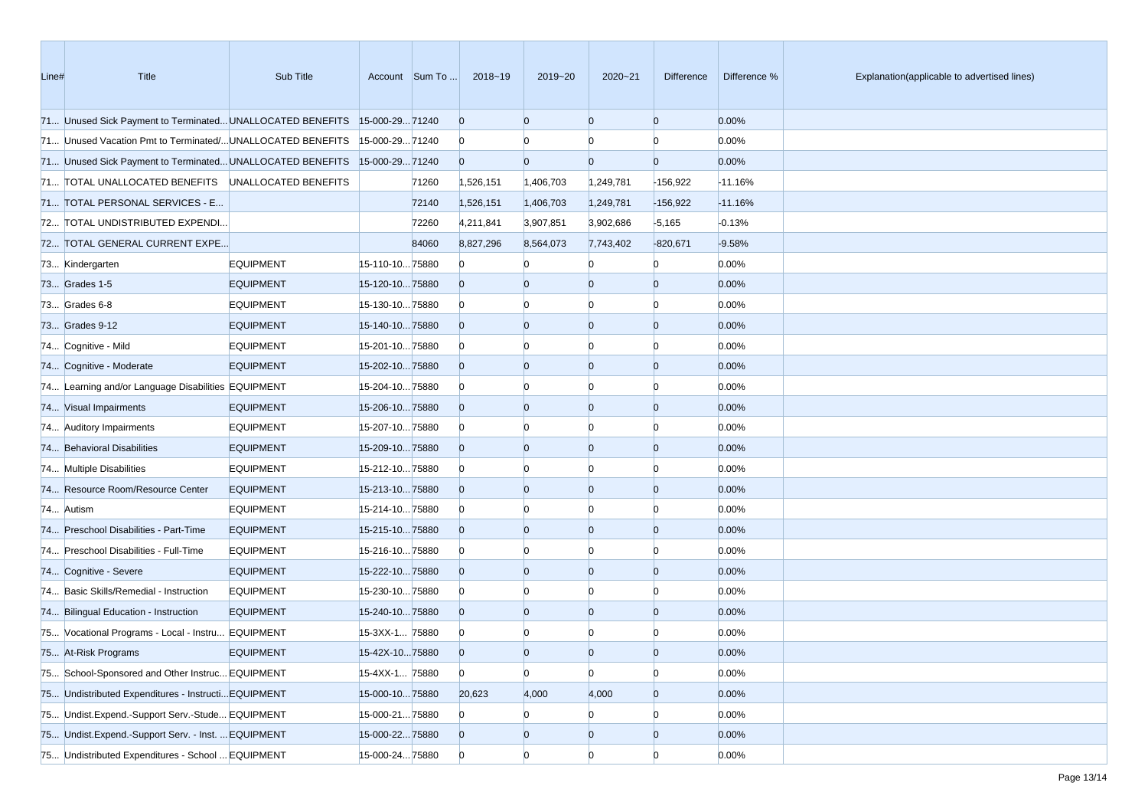| Line# | Title                                                                     | Sub Title        |                | Account Sum To | 2018~19        | 2019~20        | 2020~21        | Difference     | Difference % | Explanation(applicable to advertised lines) |
|-------|---------------------------------------------------------------------------|------------------|----------------|----------------|----------------|----------------|----------------|----------------|--------------|---------------------------------------------|
|       | 71 Unused Sick Payment to Terminated UNALLOCATED BENEFITS 15-000-29 71240 |                  |                |                | $\overline{0}$ | $\overline{0}$ | $\overline{0}$ | $\overline{0}$ | 0.00%        |                                             |
|       | 71 Unused Vacation Pmt to Terminated/ UNALLOCATED BENEFITS                |                  | 15-000-2971240 |                | $\bf{0}$       |                | $\Omega$       | $\Omega$       | 0.00%        |                                             |
|       | 71 Unused Sick Payment to Terminated UNALLOCATED BENEFITS 15-000-29 71240 |                  |                |                | $\overline{0}$ | $\Omega$       | $\mathbf{0}$   | $\overline{0}$ | 0.00%        |                                             |
|       | 71 TOTAL UNALLOCATED BENEFITS UNALLOCATED BENEFITS                        |                  |                | 71260          | 1,526,151      | 1,406,703      | 1,249,781      | $-156,922$     | $-11.16%$    |                                             |
|       | 71 TOTAL PERSONAL SERVICES - E                                            |                  |                | 72140          | 1,526,151      | 1,406,703      | 1,249,781      | $-156,922$     | $-11.16%$    |                                             |
|       | 72 TOTAL UNDISTRIBUTED EXPENDI                                            |                  |                | 72260          | 4,211,841      | 3,907,851      | 3,902,686      | $-5,165$       | $-0.13%$     |                                             |
|       | 72 TOTAL GENERAL CURRENT EXPE                                             |                  |                | 84060          | 8,827,296      | 8,564,073      | 7,743,402      | $-820,671$     | $-9.58%$     |                                             |
|       | 73 Kindergarten                                                           | <b>EQUIPMENT</b> | 15-110-1075880 |                | $\Omega$       |                | n              | $\Omega$       | 0.00%        |                                             |
|       | 73 Grades 1-5                                                             | <b>EQUIPMENT</b> | 15-120-1075880 |                | $\overline{0}$ |                | $\bf{0}$       | $\Omega$       | 0.00%        |                                             |
|       | 73 Grades 6-8                                                             | <b>EQUIPMENT</b> | 15-130-1075880 |                | $\bf{0}$       |                | 0              | n              | 0.00%        |                                             |
|       | 73 Grades 9-12                                                            | <b>EQUIPMENT</b> | 15-140-1075880 |                | $\overline{0}$ | $\Omega$       | $\mathbf{0}$   | $\Omega$       | 0.00%        |                                             |
|       | 74 Cognitive - Mild                                                       | <b>EQUIPMENT</b> | 15-201-1075880 |                | $\bf{0}$       |                | $\Omega$       | n              | 0.00%        |                                             |
|       | 74 Cognitive - Moderate                                                   | <b>EQUIPMENT</b> | 15-202-1075880 |                | $\overline{0}$ | $\Omega$       | $\overline{0}$ | $\overline{0}$ | 0.00%        |                                             |
|       | 74 Learning and/or Language Disabilities EQUIPMENT                        |                  | 15-204-1075880 |                | $\bf{0}$       |                | $\bf{0}$       | n              | 0.00%        |                                             |
|       | 74 Visual Impairments                                                     | <b>EQUIPMENT</b> | 15-206-1075880 |                | $\overline{0}$ | $\Omega$       | $\overline{0}$ | $\overline{0}$ | 0.00%        |                                             |
|       | 74 Auditory Impairments                                                   | <b>EQUIPMENT</b> | 15-207-1075880 |                | $\bf{0}$       |                | $\Omega$       | n              | 0.00%        |                                             |
|       | 74 Behavioral Disabilities                                                | <b>EQUIPMENT</b> | 15-209-1075880 |                | $\overline{0}$ | 0              | $\overline{0}$ | $\Omega$       | 0.00%        |                                             |
|       | 74 Multiple Disabilities                                                  | <b>EQUIPMENT</b> | 15-212-1075880 |                | $\overline{0}$ |                | $\Omega$       | n              | 0.00%        |                                             |
|       | 74 Resource Room/Resource Center                                          | <b>EQUIPMENT</b> | 15-213-1075880 |                | $\overline{0}$ | $\Omega$       | $\overline{0}$ | $\overline{0}$ | 0.00%        |                                             |
|       | 74 Autism                                                                 | <b>EQUIPMENT</b> | 15-214-1075880 |                | $\bf{0}$       |                | $\mathbf{0}$   | n              | 0.00%        |                                             |
|       | 74 Preschool Disabilities - Part-Time                                     | <b>EQUIPMENT</b> | 15-215-1075880 |                | $\overline{0}$ | 0              | $\overline{0}$ | $\overline{0}$ | 0.00%        |                                             |
|       | 74 Preschool Disabilities - Full-Time                                     | <b>EQUIPMENT</b> | 15-216-1075880 |                | $\overline{0}$ |                | $\Omega$       | n              | 0.00%        |                                             |
|       | 74 Cognitive - Severe                                                     | <b>EQUIPMENT</b> | 15-222-1075880 |                | $\overline{0}$ | $\Omega$       | $\overline{0}$ | $\Omega$       | 0.00%        |                                             |
|       | 74 Basic Skills/Remedial - Instruction                                    | <b>EQUIPMENT</b> | 15-230-1075880 |                | $\bf{0}$       |                | $\Omega$       | n              | 0.00%        |                                             |
|       | 74 Bilingual Education - Instruction                                      | <b>EQUIPMENT</b> | 15-240-1075880 |                | $\overline{0}$ | $\Omega$       | $\overline{0}$ | $\Omega$       | 0.00%        |                                             |
|       | 75 Vocational Programs - Local - Instru EQUIPMENT                         |                  | 15-3XX-1 75880 |                | $\overline{0}$ |                |                |                | 0.00%        |                                             |
|       | 75 At-Risk Programs                                                       | <b>EQUIPMENT</b> | 15-42X-1075880 |                | $\Omega$       | $\Omega$       | $\Omega$       | n              | 0.00%        |                                             |
|       | 75 School-Sponsored and Other Instruc EQUIPMENT                           |                  | 15-4XX-1 75880 |                | $\overline{0}$ | $\overline{0}$ | $\overline{0}$ | $\overline{0}$ | 0.00%        |                                             |
|       | 75 Undistributed Expenditures - Instructi EQUIPMENT                       |                  | 15-000-1075880 |                | 20,623         | 4,000          | 4,000          | $\overline{0}$ | 0.00%        |                                             |
|       | 75 Undist.Expend.-Support Serv.-Stude EQUIPMENT                           |                  | 15-000-2175880 |                | $\overline{0}$ | $\bf{0}$       | $\mathbf{0}$   | $\Omega$       | 0.00%        |                                             |
|       | 75 Undist.Expend.-Support Serv. - Inst.  EQUIPMENT                        |                  | 15-000-2275880 |                | $\overline{0}$ | $\bf{0}$       | $\mathbf{0}$   | $\overline{0}$ | 0.00%        |                                             |
|       | 75 Undistributed Expenditures - School  EQUIPMENT                         |                  | 15-000-2475880 |                | $\overline{0}$ | $\overline{0}$ | $\overline{0}$ | $\overline{0}$ | 0.00%        |                                             |